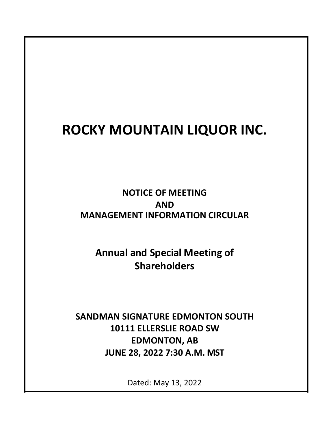# **ROCKY MOUNTAIN LIQUOR INC.**

**NOTICE OF MEETING AND MANAGEMENT INFORMATION CIRCULAR**

**Annual and Special Meeting of Shareholders**

**SANDMAN SIGNATURE EDMONTON SOUTH 10111 ELLERSLIE ROAD SW EDMONTON, AB JUNE 28, 2022 7:30 A.M. MST** 

Dated: May 13, 2022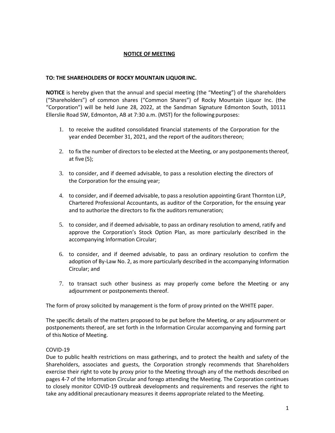# **NOTICE OF MEETING**

# **TO: THE SHAREHOLDERS OF ROCKY MOUNTAIN LIQUOR INC.**

**NOTICE** is hereby given that the annual and special meeting (the "Meeting") of the shareholders ("Shareholders") of common shares ("Common Shares") of Rocky Mountain Liquor Inc. (the "Corporation") will be held June 28, 2022, at the Sandman Signature Edmonton South, 10111 Ellerslie Road SW, Edmonton, AB at 7:30 a.m. (MST) for the following purposes:

- 1. to receive the audited consolidated financial statements of the Corporation for the year ended December 31, 2021, and the report of the auditors thereon;
- 2. to fix the number of directors to be elected at the Meeting, or any postponements thereof, at five (5);
- 3. to consider, and if deemed advisable, to pass a resolution electing the directors of the Corporation for the ensuing year;
- 4. to consider, and if deemed advisable, to pass a resolution appointing Grant Thornton LLP, Chartered Professional Accountants, as auditor of the Corporation, for the ensuing year and to authorize the directors to fix the auditors remuneration;
- 5. to consider, and if deemed advisable, to pass an ordinary resolution to amend, ratify and approve the Corporation's Stock Option Plan, as more particularly described in the accompanying Information Circular;
- 6. to consider, and if deemed advisable, to pass an ordinary resolution to confirm the adoption of By-Law No. 2, as more particularly described in the accompanying Information Circular; and
- 7. to transact such other business as may properly come before the Meeting or any adjournment or postponements thereof.

The form of proxy solicited by management is the form of proxy printed on the WHITE paper.

The specific details of the matters proposed to be put before the Meeting, or any adjournment or postponements thereof, are set forth in the Information Circular accompanying and forming part of this Notice of Meeting.

# COVID-19

Due to public health restrictions on mass gatherings, and to protect the health and safety of the Shareholders, associates and guests, the Corporation strongly recommends that Shareholders exercise their right to vote by proxy prior to the Meeting through any of the methods described on pages 4-7 of the Information Circular and forego attending the Meeting. The Corporation continues to closely monitor COVID-19 outbreak developments and requirements and reserves the right to take any additional precautionary measures it deems appropriate related to the Meeting.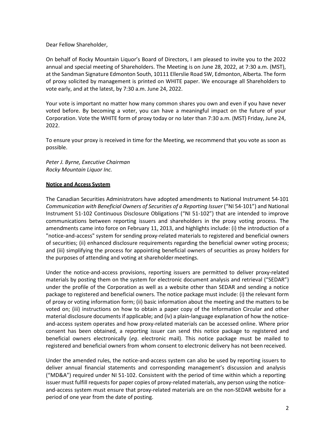Dear Fellow Shareholder,

On behalf of Rocky Mountain Liquor's Board of Directors, I am pleased to invite you to the 2022 annual and special meeting of Shareholders. The Meeting is on June 28, 2022, at 7:30 a.m. (MST), at the Sandman Signature Edmonton South, 10111 Ellerslie Road SW, Edmonton, Alberta. The form of proxy solicited by management is printed on WHITE paper. We encourage all Shareholders to vote early, and at the latest, by 7:30 a.m. June 24, 2022.

Your vote is important no matter how many common shares you own and even if you have never voted before. By becoming a voter, you can have a meaningful impact on the future of your Corporation. Vote the WHITE form of proxy today or no later than 7:30 a.m. (MST) Friday, June 24, 2022.

To ensure your proxy is received in time for the Meeting, we recommend that you vote as soon as possible.

*Peter J. Byrne, Executive Chairman Rocky Mountain Liquor Inc.* 

#### **Notice and Access System**

The Canadian Securities Administrators have adopted amendments to National Instrument 54-101 *Communication with Beneficial Owners of Securities of a Reporting Issuer* ("NI 54-101") and National Instrument 51-102 Continuous Disclosure Obligations ("NI 51-102") that are intended to improve communications between reporting issuers and shareholders in the proxy voting process. The amendments came into force on February 11, 2013, and highlights include: (i) the introduction of a "notice-and-access" system for sending proxy-related materials to registered and beneficial owners of securities; (ii) enhanced disclosure requirements regarding the beneficial owner voting process; and (iii) simplifying the process for appointing beneficial owners of securities as proxy holders for the purposes of attending and voting at shareholder meetings.

Under the notice-and-access provisions, reporting issuers are permitted to deliver proxy-related materials by posting them on the system for electronic document analysis and retrieval ("SEDAR") under the profile of the Corporation as well as a website other than SEDAR and sending a notice package to registered and beneficial owners. The notice package must include: (i) the relevant form of proxy or voting information form; (ii) basic information about the meeting and the matters to be voted on; (iii) instructions on how to obtain a paper copy of the Information Circular and other material disclosure documents if applicable; and (iv) a plain-language explanation of how the noticeand-access system operates and how proxy-related materials can be accessed online. Where prior consent has been obtained, a reporting issuer can send this notice package to registered and beneficial owners electronically (*eg*. electronic mail). This notice package must be mailed to registered and beneficial owners from whom consent to electronic delivery has not been received.

Under the amended rules, the notice-and-access system can also be used by reporting issuers to deliver annual financial statements and corresponding management's discussion and analysis ("MD&A") required under NI 51-102. Consistent with the period of time within which a reporting issuer must fulfill requests for paper copies of proxy-related materials, any person using the noticeand-access system must ensure that proxy-related materials are on the non-SEDAR website for a period of one year from the date of posting.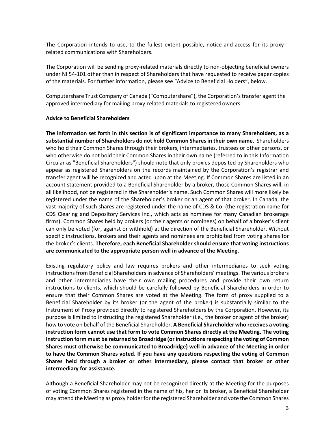The Corporation intends to use, to the fullest extent possible, notice-and-access for its proxyrelated communications with Shareholders.

The Corporation will be sending proxy-related materials directly to non-objecting beneficial owners under NI 54-101 other than in respect of Shareholders that have requested to receive paper copies of the materials. For further information, please see "Advice to Beneficial Holders", below.

Computershare Trust Company of Canada ("Computershare"), the Corporation's transfer agent the approved intermediary for mailing proxy-related materials to registered owners.

#### **Advice to Beneficial Shareholders**

**The information set forth in this section is of significant importance to many Shareholders, as a substantial number of Shareholders do not hold Common Shares in their own name.** Shareholders who hold their Common Shares through their brokers, intermediaries, trustees or other persons, or who otherwise do not hold their Common Shares in their own name (referred to in this Information Circular as "Beneficial Shareholders") should note that only proxies deposited by Shareholders who appear as registered Shareholders on the records maintained by the Corporation's registrar and transfer agent will be recognized and acted upon at the Meeting. If Common Shares are listed in an account statement provided to a Beneficial Shareholder by a broker, those Common Shares will, in all likelihood, not be registered in the Shareholder's name. Such Common Shares will more likely be registered under the name of the Shareholder's broker or an agent of that broker. In Canada, the vast majority of such shares are registered under the name of CDS & Co. (the registration name for CDS Clearing and Depository Services Inc., which acts as nominee for many Canadian brokerage firms). Common Shares held by brokers (or their agents or nominees) on behalf of a broker's client can only be voted (for, against or withhold) at the direction of the Beneficial Shareholder. Without specific instructions, brokers and their agents and nominees are prohibited from voting shares for the broker's clients. **Therefore, each Beneficial Shareholder should ensure that voting instructions are communicated to the appropriate person well in advance of the Meeting.**

Existing regulatory policy and law requires brokers and other intermediaries to seek voting instructions from Beneficial Shareholders in advance of Shareholders' meetings. The various brokers and other intermediaries have their own mailing procedures and provide their own return instructions to clients, which should be carefully followed by Beneficial Shareholders in order to ensure that their Common Shares are voted at the Meeting. The form of proxy supplied to a Beneficial Shareholder by its broker (or the agent of the broker) is substantially similar to the Instrument of Proxy provided directly to registered Shareholders by the Corporation. However, its purpose is limited to instructing the registered Shareholder (i.e., the broker or agent of the broker) how to vote on behalf of the Beneficial Shareholder. **A Beneficial Shareholder who receives a voting instruction form cannot use that form to vote Common Shares directly at the Meeting. The voting instruction form must be returned to Broadridge (or instructions respecting the voting of Common Shares must otherwise be communicated to Broadridge) well in advance of the Meeting in order to have the Common Shares voted. If you have any questions respecting the voting of Common Shares held through a broker or other intermediary, please contact that broker or other intermediary for assistance.** 

Although a Beneficial Shareholder may not be recognized directly at the Meeting for the purposes of voting Common Shares registered in the name of his, her or its broker, a Beneficial Shareholder may attend the Meeting as proxy holder for the registered Shareholder and vote the Common Shares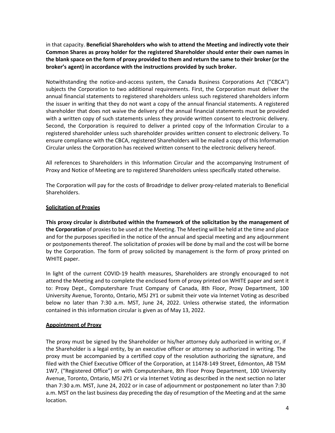in that capacity. **Beneficial Shareholders who wish to attend the Meeting and indirectly vote their Common Shares as proxy holder for the registered Shareholder should enter their own names in the blank space on the form of proxy provided to them and return the same to their broker (or the broker's agent) in accordance with the instructions provided by such broker.**

Notwithstanding the notice-and-access system, the Canada Business Corporations Act ("CBCA") subjects the Corporation to two additional requirements. First, the Corporation must deliver the annual financial statements to registered shareholders unless such registered shareholders inform the issuer in writing that they do not want a copy of the annual financial statements. A registered shareholder that does not waive the delivery of the annual financial statements must be provided with a written copy of such statements unless they provide written consent to electronic delivery. Second, the Corporation is required to deliver a printed copy of the Information Circular to a registered shareholder unless such shareholder provides written consent to electronic delivery. To ensure compliance with the CBCA, registered Shareholders will be mailed a copy of this Information Circular unless the Corporation has received written consent to the electronic delivery hereof.

All references to Shareholders in this Information Circular and the accompanying Instrument of Proxy and Notice of Meeting are to registered Shareholders unless specifically stated otherwise.

The Corporation will pay for the costs of Broadridge to deliver proxy-related materials to Beneficial Shareholders.

# **Solicitation of Proxies**

**This proxy circular is distributed within the framework of the solicitation by the management of the Corporation** of proxies to be used at the Meeting. The Meeting will be held at the time and place and for the purposes specified in the notice of the annual and special meeting and any adjournment or postponements thereof. The solicitation of proxies will be done by mail and the cost will be borne by the Corporation. The form of proxy solicited by management is the form of proxy printed on WHITE paper.

In light of the current COVID-19 health measures, Shareholders are strongly encouraged to not attend the Meeting and to complete the enclosed form of proxy printed on WHITE paper and sent it to: Proxy Dept., Computershare Trust Company of Canada, 8th Floor, Proxy Department, 100 University Avenue, Toronto, Ontario, M5J 2Y1 or submit their vote via Internet Voting as described below no later than 7:30 a.m. MST, June 24, 2022. Unless otherwise stated, the information contained in this information circular is given as of May 13, 2022.

# **Appointment of Proxy**

The proxy must be signed by the Shareholder or his/her attorney duly authorized in writing or, if the Shareholder is a legal entity, by an executive officer or attorney so authorized in writing. The proxy must be accompanied by a certified copy of the resolution authorizing the signature, and filed with the Chief Executive Officer of the Corporation, at 11478-149 Street, Edmonton, AB T5M 1W7, ("Registered Office") or with Computershare, 8th Floor Proxy Department, 100 University Avenue, Toronto, Ontario, M5J 2Y1 or via Internet Voting as described in the next section no later than 7:30 a.m. MST, June 24, 2022 or in case of adjournment or postponement no later than 7:30 a.m. MST on the last business day preceding the day of resumption of the Meeting and at the same location.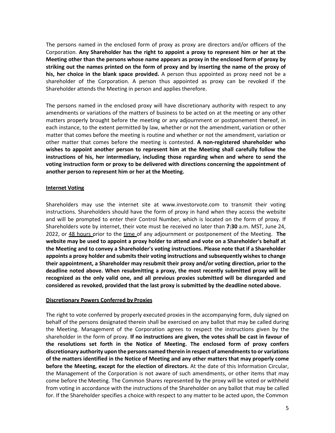The persons named in the enclosed form of proxy as proxy are directors and/or officers of the Corporation. **Any Shareholder has the right to appoint a proxy to represent him or her at the Meeting other than the persons whose name appears as proxy in the enclosed form of proxy by striking out the names printed on the form of proxy and by inserting the name of the proxy of his, her choice in the blank space provided.** A person thus appointed as proxy need not be a shareholder of the Corporation. A person thus appointed as proxy can be revoked if the Shareholder attends the Meeting in person and applies therefore.

The persons named in the enclosed proxy will have discretionary authority with respect to any amendments or variations of the matters of business to be acted on at the meeting or any other matters properly brought before the meeting or any adjournment or postponement thereof, in each instance, to the extent permitted by law, whether or not the amendment, variation or other matter that comes before the meeting is routine and whether or not the amendment, variation or other matter that comes before the meeting is contested. **A non-registered shareholder who wishes to appoint another person to represent him at the Meeting shall carefully follow the instructions of his, her intermediary, including those regarding when and where to send the voting instruction form or proxy to be delivered with directions concerning the appointment of another person to represent him or her at the Meeting.** 

#### **Internet Voting**

Shareholders may use the internet site at www.investorvote.com to transmit their voting instructions. Shareholders should have the form of proxy in hand when they access the website and will be prompted to enter their Control Number, which is located on the form of proxy. If Shareholders vote by internet, their vote must be received no later than **7:30** a.m. MST, June 24, 2022, or 48 hours prior to the time of any adjournment or postponement of the Meeting. **The website may be used to appoint a proxy holder to attend and vote on a Shareholder's behalf at the Meeting and to convey a Shareholder's voting instructions. Please note that if a Shareholder appoints a proxy holder and submits their voting instructions and subsequently wishes to change their appointment, a Shareholder may resubmit their proxy and/or voting direction, prior to the deadline noted above. When resubmitting a proxy, the most recently submitted proxy will be recognized as the only valid one, and all previous proxies submitted will be disregarded and considered as revoked, provided that the last proxy is submitted by the deadline noted above.**

#### **Discretionary Powers Conferred by Proxies**

The right to vote conferred by properly executed proxies in the accompanying form, duly signed on behalf of the persons designated therein shall be exercised on any ballot that may be called during the Meeting. Management of the Corporation agrees to respect the instructions given by the shareholder in the form of proxy. **If no instructions are given, the votes shall be cast in favour of the resolutions set forth in the Notice of Meeting. The enclosed form of proxy confers discretionary authority upon the persons named therein in respect of amendments to or variations of the matters identified in the Notice of Meeting and any other matters that may properly come before the Meeting, except for the election of directors.** At the date of this Information Circular, the Management of the Corporation is not aware of such amendments, or other items that may come before the Meeting. The Common Shares represented by the proxy will be voted or withheld from voting in accordance with the instructions of the Shareholder on any ballot that may be called for. If the Shareholder specifies a choice with respect to any matter to be acted upon, the Common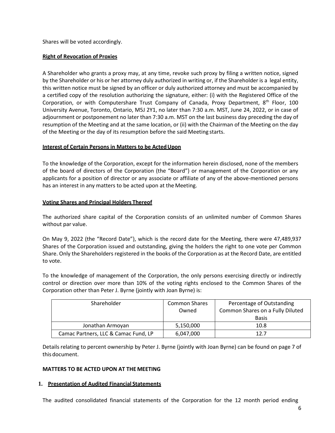Shares will be voted accordingly.

# **Right of Revocation of Proxies**

A Shareholder who grants a proxy may, at any time, revoke such proxy by filing a written notice, signed by the Shareholder or his or her attorney duly authorized in writing or, if the Shareholder is a legal entity, this written notice must be signed by an officer or duly authorized attorney and must be accompanied by a certified copy of the resolution authorizing the signature, either: (i) with the Registered Office of the Corporation, or with Computershare Trust Company of Canada, Proxy Department, 8<sup>th</sup> Floor, 100 University Avenue, Toronto, Ontario, M5J 2Y1, no later than 7:30 a.m. MST, June 24, 2022, or in case of adjournment or postponement no later than 7:30 a.m. MST on the last business day preceding the day of resumption of the Meeting and at the same location, or (ii) with the Chairman of the Meeting on the day of the Meeting or the day of its resumption before the said Meeting starts.

# **Interest of Certain Persons in Matters to be Acted Upon**

To the knowledge of the Corporation, except for the information herein disclosed, none of the members of the board of directors of the Corporation (the "Board") or management of the Corporation or any applicants for a position of director or any associate or affiliate of any of the above-mentioned persons has an interest in any matters to be acted upon at the Meeting.

# **Voting Shares and Principal Holders Thereof**

The authorized share capital of the Corporation consists of an unlimited number of Common Shares without par value.

On May 9, 2022 (the "Record Date"), which is the record date for the Meeting, there were 47,489,937 Shares of the Corporation issued and outstanding, giving the holders the right to one vote per Common Share. Only the Shareholders registered in the books of the Corporation as at the Record Date, are entitled to vote.

To the knowledge of management of the Corporation, the only persons exercising directly or indirectly control or direction over more than 10% of the voting rights enclosed to the Common Shares of the Corporation other than Peter J. Byrne (jointly with Joan Byrne) is:

| Shareholder                          | <b>Common Shares</b> | Percentage of Outstanding        |
|--------------------------------------|----------------------|----------------------------------|
|                                      | Owned                | Common Shares on a Fully Diluted |
|                                      |                      | <b>Basis</b>                     |
| Jonathan Armoyan                     | 5,150,000            | 10.8                             |
| Camac Partners, LLC & Camac Fund, LP | 6,047,000            | 12.7                             |

Details relating to percent ownership by Peter J. Byrne (jointly with Joan Byrne) can be found on page 7 of this document.

# **MATTERS TO BE ACTED UPON AT THE MEETING**

# **1. Presentation of Audited Financial Statements**

The audited consolidated financial statements of the Corporation for the 12 month period ending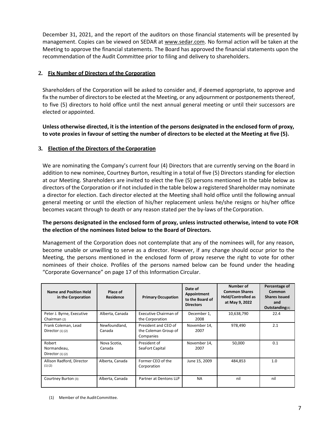December 31, 2021, and the report of the auditors on those financial statements will be presented by management. Copies can be viewed on SEDAR at www.sedar.com. No formal action will be taken at the Meeting to approve the financial statements. The Board has approved the financial statements upon the recommendation of the Audit Committee prior to filing and delivery to shareholders.

# **2. Fix Number of Directors of the Corporation**

Shareholders of the Corporation will be asked to consider and, if deemed appropriate, to approve and fix the number of directors to be elected at the Meeting, or any adjournment or postponements thereof, to five (5) directors to hold office until the next annual general meeting or until their successors are elected or appointed.

**Unless otherwise directed, it is the intention of the persons designated in the enclosed form of proxy, to vote proxies in favour of setting the number of directors to be elected at the Meeting at five (5).** 

# **3. Election of the Directors of the Corporation**

We are nominating the Company's current four (4) Directors that are currently serving on the Board in addition to new nominee, Courtney Burton, resulting in a total of five (5) Directors standing for election at our Meeting. Shareholders are invited to elect the five (5) persons mentioned in the table below as directors of the Corporation or if not included in the table below a registered Shareholder may nominate a director for election. Each director elected at the Meeting shall hold office until the following annual general meeting or until the election of his/her replacement unless he/she resigns or his/her office becomes vacant through to death or any reason stated per the by-laws of the Corporation.

# **The persons designated in the enclosed form of proxy, unless instructed otherwise, intend to vote FOR the election of the nominees listed below to the Board of Directors.**

Management of the Corporation does not contemplate that any of the nominees will, for any reason, become unable or unwilling to serve as a director. However, if any change should occur prior to the Meeting, the persons mentioned in the enclosed form of proxy reserve the right to vote for other nominees of their choice. Profiles of the persons named below can be found under the heading "Corporate Governance" on page 17 of this Information Circular.

| <b>Name and Position Held</b><br>in the Corporation | Place of<br><b>Residence</b> | <b>Primary Occupation</b>                                 | Date of<br>Appointment<br>to the Board of<br><b>Directors</b> | Number of<br><b>Common Shares</b><br><b>Held/Controlled as</b><br>at May 9, 2022 | Percentage of<br>Common<br><b>Shares Issued</b><br>and<br><b>Outstanding(4)</b> |
|-----------------------------------------------------|------------------------------|-----------------------------------------------------------|---------------------------------------------------------------|----------------------------------------------------------------------------------|---------------------------------------------------------------------------------|
| Peter J. Byrne, Executive<br>Chairman (2)           | Alberta, Canada              | Executive Chairman of<br>the Corporation                  | December 1,<br>2008                                           | 10,638,790                                                                       | 22.4                                                                            |
| Frank Coleman, Lead<br>Director $(1)$ $(2)$         | Newfoundland,<br>Canada      | President and CEO of<br>the Coleman Group of<br>Companies | November 14.<br>2007                                          | 978,490                                                                          | 2.1                                                                             |
| Robert<br>Normandeau,<br>Director $(1)$ $(2)$       | Nova Scotia,<br>Canada       | President of<br>SeaFort Capital                           | November 14,<br>2007                                          | 50,000                                                                           | 0.1                                                                             |
| Allison Radford, Director<br>(1)(2)                 | Alberta, Canada              | Former CEO of the<br>Corporation                          | June 15, 2009                                                 | 484,853                                                                          | 1.0                                                                             |
| Courtney Burton (3)                                 | Alberta, Canada              | Partner at Dentons LLP                                    | <b>NA</b>                                                     | nil                                                                              | nil                                                                             |

<sup>(1)</sup> Member of the Audit Committee.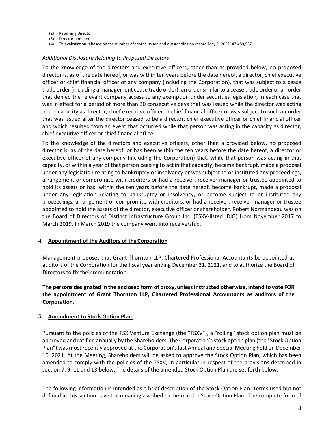- (2) Returning Director
- (3) Director nominee
- (4) This calculation is based on the number of shares issued and outstanding on record May 9, 2022, 47,489,937

#### *Additional Disclosure Relating to Proposed Directors*

To the knowledge of the directors and executive officers, other than as provided below, no proposed director is, as of the date hereof, or was within ten years before the date hereof, a director, chief executive officer or chief financial officer of any company (including the Corporation), that was subject to a cease trade order (including a management cease trade order), an order similar to a cease trade order or an order that denied the relevant company access to any exemption under securities legislation, in each case that was in effect for a period of more than 30 consecutive days that was issued while the director was acting in the capacity as director, chief executive officer or chief financial officer or was subject to such an order that was issued after the director ceased to be a director, chief executive officer or chief financial officer and which resulted from an event that occurred while that person was acting in the capacity as director, chief executive officer or chief financial officer.

To the knowledge of the directors and executive officers, other than a provided below, no proposed director is, as of the date hereof, or has been within the ten years before the date hereof, a director or executive officer of any company (including the Corporation) that, while that person was acting in that capacity, or within a year of that person ceasing to act in that capacity, became bankrupt, made a proposal under any legislation relating to bankruptcy or insolvency or was subject to or instituted any proceedings, arrangement or compromise with creditors or had a receiver, receiver manager or trustee appointed to hold its assets or has, within the ten years before the date hereof, become bankrupt, made a proposal under any legislation relating to bankruptcy or insolvency, or become subject to or instituted any proceedings, arrangement or compromise with creditors, or had a receiver, receiver manager or trustee appointed to hold the assets of the director, executive officer or shareholder. Robert Normandeau was on the Board of Directors of Distinct Infrastructure Group Inc. (TSXV-listed: DIG) from November 2017 to March 2019. In March 2019 the company went into receivership.

# **4. Appointment of the Auditors of the Corporation**

Management proposes that Grant Thornton LLP, Chartered Professional Accountants be appointed as auditors of the Corporation for the fiscal year ending December 31, 2021, and to authorize the Board of Directors to fix their remuneration.

**The persons designated in the enclosed form of proxy, unless instructed otherwise, intend to vote FOR the appointment of Grant Thornton LLP, Chartered Professional Accountants as auditors of the Corporation.** 

# **5. Amendment to Stock Option Plan**

Pursuant to the policies of the TSX Venture Exchange (the "TSXV"), a "rolling" stock option plan must be approved and ratified annually by the Shareholders. The Corporation's stock option plan (the "Stock Option Plan") was most recently approved at the Corporation's last Annual and Special Meeting held on December 10, 2021. At the Meeting, Shareholders will be asked to approve the Stock Option Plan, which has been amended to comply with the policies of the TSXV, in particular in respect of the provisions described in section 7, 9, 11 and 13 below. The details of the amended Stock Option Plan are set forth below.

The following information is intended as a brief description of the Stock Option Plan. Terms used but not defined in this section have the meaning ascribed to them in the Stock Option Plan. The complete form of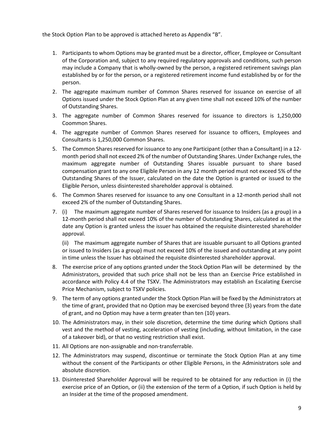the Stock Option Plan to be approved is attached hereto as Appendix "B".

- 1. Participants to whom Options may be granted must be a director, officer, Employee or Consultant of the Corporation and, subject to any required regulatory approvals and conditions, such person may include a Company that is wholly-owned by the person, a registered retirement savings plan established by or for the person, or a registered retirement income fund established by or for the person.
- 2. The aggregate maximum number of Common Shares reserved for issuance on exercise of all Options issued under the Stock Option Plan at any given time shall not exceed 10% of the number of Outstanding Shares.
- 3. The aggregate number of Common Shares reserved for issuance to directors is 1,250,000 Coommon Shares.
- 4. The aggregate number of Common Shares reserved for issuance to officers, Employees and Consultants is 1,250,000 Common Shares.
- 5. The Common Shares reserved for issuance to any one Participant (other than a Consultant) in a 12 month period shall not exceed 2% of the number of Outstanding Shares. Under Exchange rules, the maximum aggregate number of Outstanding Shares issuable pursuant to share based compensation grant to any one Eligible Person in any 12 month period must not exceed 5% of the Outstanding Shares of the Issuer, calculated on the date the Option is granted or issued to the Eligible Person, unless disinterested shareholder approval is obtained.
- 6. The Common Shares reserved for issuance to any one Consultant in a 12-month period shall not exceed 2% of the number of Outstanding Shares.
- 7. (i) The maximum aggregate number of Shares reserved for issuance to Insiders (as a group) in a 12-month period shall not exceed 10% of the number of Outstanding Shares, calculated as at the date any Option is granted unless the issuer has obtained the requisite disinterested shareholder approval.

(ii) The maximum aggregate number of Shares that are issuable pursuant to all Options granted or issued to Insiders (as a group) must not exceed 10% of the issued and outstanding at any point in time unless the Issuer has obtained the requisite disinterested shareholder approval.

- 8. The exercise price of any options granted under the Stock Option Plan will be determined by the Administrators, provided that such price shall not be less than an Exercise Price established in accordance with Policy 4.4 of the TSXV. The Administrators may establish an Escalating Exercise Price Mechanism, subject to TSXV policies.
- 9. The term of any options granted under the Stock Option Plan will be fixed by the Administrators at the time of grant, provided that no Option may be exercised beyond three (3) years from the date of grant, and no Option may have a term greater than ten (10) years.
- 10. The Administrators may, in their sole discretion, determine the time during which Options shall vest and the method of vesting, acceleration of vesting (including, without limitation, in the case of a takeover bid), or that no vesting restriction shall exist.
- 11. All Options are non-assignable and non-transferrable.
- 12. The Administrators may suspend, discontinue or terminate the Stock Option Plan at any time without the consent of the Participants or other Eligible Persons, in the Administrators sole and absolute discretion.
- 13. Disinterested Shareholder Approval will be required to be obtained for any reduction in (i) the exercise price of an Option, or (ii) the extension of the term of a Option, if such Option is held by an Insider at the time of the proposed amendment.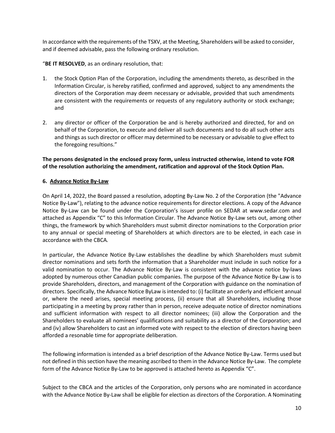In accordance with the requirements of the TSXV, at the Meeting, Shareholders will be asked to consider, and if deemed advisable, pass the following ordinary resolution.

"**BE IT RESOLVED**, as an ordinary resolution, that:

- 1. the Stock Option Plan of the Corporation, including the amendments thereto, as described in the Information Circular, is hereby ratified, confirmed and approved, subject to any amendments the directors of the Corporation may deem necessary or advisable, provided that such amendments are consistent with the requirements or requests of any regulatory authority or stock exchange; and
- 2. any director or officer of the Corporation be and is hereby authorized and directed, for and on behalf of the Corporation, to execute and deliver all such documents and to do all such other acts and things as such director or officer may determined to be necessary or advisable to give effect to the foregoing resultions."

**The persons designated in the enclosed proxy form, unless instructed otherwise, intend to vote FOR of the resolution authorizing the amendment, ratification and approval of the Stock Option Plan.** 

# **6. Advance Notice By-Law**

On April 14, 2022, the Board passed a resolution, adopting By-Law No. 2 of the Corporation (the "Advance Notice By-Law"), relating to the advance notice requirements for director elections. A copy of the Advance Notice By-Law can be found under the Corporation's issuer profile on SEDAR at www.sedar.com and attached as Appendix "C" to this Information Circular. The Advance Notice By-Law sets out, among other things, the framework by which Shareholders must submit director nominations to the Corporation prior to any annual or special meeting of Shareholders at which directors are to be elected, in each case in accordance with the CBCA*.* 

In particular, the Advance Notice By-Law establishes the deadline by which Shareholders must submit director nominations and sets forth the information that a Shareholder must include in such notice for a valid nomination to occur. The Advance Notice By-Law is consistent with the advance notice by-laws adopted by numerous other Canadian public companies. The purpose of the Advance Notice By-Law is to provide Shareholders, directors, and management of the Corporation with guidance on the nomination of directors. Specifically, the Advance Notice ByLaw is intended to: (i) facilitate an orderly and efficient annual or, where the need arises, special meeting process, (ii) ensure that all Shareholders, including those participating in a meeting by proxy rather than in person, receive adequate notice of director nominations and sufficient information with respect to all director nominees; (iii) allow the Corporation and the Shareholders to evaluate all nominees' qualifications and suitability as a director of the Corporation; and and (iv) allow Shareholders to cast an informed vote with respect to the election of directors having been afforded a resonable time for appropriate deliberation.

The following information is intended as a brief description of the Advance Notice By-Law. Terms used but not defined in this section have the meaning ascribed to them in the Advance Notice By-Law. The complete form of the Advance Notice By-Law to be approved is attached hereto as Appendix "C".

Subject to the CBCA and the articles of the Corporation, only persons who are nominated in accordance with the Advance Notice By-Law shall be eligible for election as directors of the Corporation. A Nominating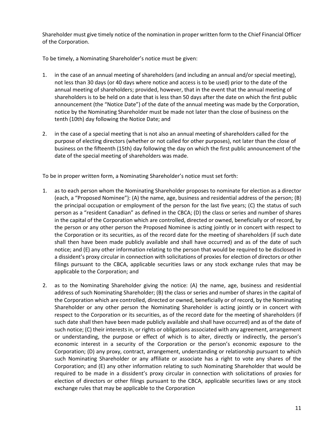Shareholder must give timely notice of the nomination in proper written form to the Chief Financial Officer of the Corporation.

To be timely, a Nominating Shareholder's notice must be given:

- 1. in the case of an annual meeting of shareholders (and including an annual and/or special meeting), not less than 30 days (or 40 days where notice and access is to be used) prior to the date of the annual meeting of shareholders; provided, however, that in the event that the annual meeting of shareholders is to be held on a date that is less than 50 days after the date on which the first public announcement (the "Notice Date") of the date of the annual meeting was made by the Corporation, notice by the Nominating Shareholder must be made not later than the close of business on the tenth (10th) day following the Notice Date; and
- 2. in the case of a special meeting that is not also an annual meeting of shareholders called for the purpose of electing directors (whether or not called for other purposes), not later than the close of business on the fifteenth (15th) day following the day on which the first public announcement of the date of the special meeting of shareholders was made.

To be in proper written form, a Nominating Shareholder's notice must set forth:

- 1. as to each person whom the Nominating Shareholder proposes to nominate for election as a director (each, a "Proposed Nominee"): (A) the name, age, business and residential address of the person; (B) the principal occupation or employment of the person for the last five years; (C) the status of such person as a "resident Canadian" as defined in the CBCA; (D) the class or series and number of shares in the capital of the Corporation which are controlled, directed or owned, beneficially or of record, by the person or any other person the Proposed Nominee is acting jointly or in concert with respect to the Corporation or its securities, as of the record date for the meeting of shareholders (if such date shall then have been made publicly available and shall have occurred) and as of the date of such notice; and (E) any other information relating to the person that would be required to be disclosed in a dissident's proxy circular in connection with solicitations of proxies for election of directors or other filings pursuant to the CBCA, applicable securities laws or any stock exchange rules that may be applicable to the Corporation; and
- 2. as to the Nominating Shareholder giving the notice: (A) the name, age, business and residential address of such Nominating Shareholder; (B) the class or series and number of shares in the capital of the Corporation which are controlled, directed or owned, beneficially or of record, by the Nominating Shareholder or any other person the Nominating Shareholder is acting jointly or in concert with respect to the Corporation or its securities, as of the record date for the meeting of shareholders (if such date shall then have been made publicly available and shall have occurred) and as of the date of such notice; (C) their interests in, or rights or obligations associated with any agreement, arrangement or understanding, the purpose or effect of which is to alter, directly or indirectly, the person's economic interest in a security of the Corporation or the person's economic exposure to the Corporation; (D) any proxy, contract, arrangement, understanding or relationship pursuant to which such Nominating Shareholder or any affiliate or associate has a right to vote any shares of the Corporation; and (E) any other information relating to such Nominating Shareholder that would be required to be made in a dissident's proxy circular in connection with solicitations of proxies for election of directors or other filings pursuant to the CBCA, applicable securities laws or any stock exchange rules that may be applicable to the Corporation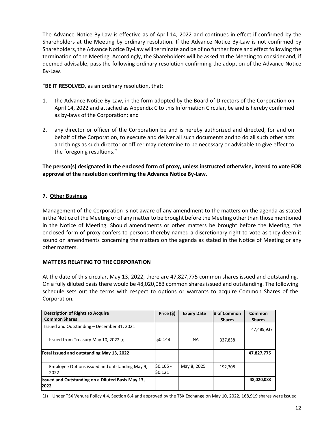The Advance Notice By-Law is effective as of April 14, 2022 and continues in effect if confirmed by the Shareholders at the Meeting by ordinary resolution. If the Advance Notice By-Law is not confirmed by Shareholders, the Advance Notice By-Law will terminate and be of no further force and effect following the termination of the Meeting. Accordingly, the Shareholders will be asked at the Meeting to consider and, if deemed advisable, pass the following ordinary resolution confirming the adoption of the Advance Notice By-Law.

"**BE IT RESOLVED**, as an ordinary resolution, that:

- 1. the Advance Notice By-Law, in the form adopted by the Board of Directors of the Corporation on April 14, 2022 and attached as Appendix C to this Information Circular, be and is hereby confirmed as by-laws of the Corporation; and
- 2. any director or officer of the Corporation be and is hereby authorized and directed, for and on behalf of the Corporation, to execute and deliver all such documents and to do all such other acts and things as such director or officer may determine to be necessary or advisable to give effect to the foregoing resultions."

**The person(s) designated in the enclosed form of proxy, unless instructed otherwise, intend to vote FOR approval of the resolution confirming the Advance Notice By-Law.** 

# **7. Other Business**

Management of the Corporation is not aware of any amendment to the matters on the agenda as stated in the Notice of the Meeting or of any matter to be brought before the Meeting other than those mentioned in the Notice of Meeting. Should amendments or other matters be brought before the Meeting, the enclosed form of proxy confers to persons thereby named a discretionary right to vote as they deem it sound on amendments concerning the matters on the agenda as stated in the Notice of Meeting or any other matters.

# **MATTERS RELATING TO THE CORPORATION**

At the date of this circular, May 13, 2022, there are 47,827,775 common shares issued and outstanding. On a fully diluted basis there would be 48,020,083 common shares issued and outstanding. The following schedule sets out the terms with respect to options or warrants to acquire Common Shares of the Corporation.

| <b>Description of Rights to Acquire</b><br><b>Common Shares</b>  | Price (\$)            | <b>Expiry Date</b> | # of Common<br><b>Shares</b> | Common<br><b>Shares</b> |
|------------------------------------------------------------------|-----------------------|--------------------|------------------------------|-------------------------|
| Issued and Outstanding - December 31, 2021                       |                       |                    |                              | 47,489,937              |
| Issued from Treasury May 10, 2022 (1)                            | \$0.148               | <b>NA</b>          | 337,838                      |                         |
| Total Issued and outstanding May 13, 2022                        |                       |                    |                              | 47,827,775              |
| Employee Options issued and outstanding May 9.<br>2022           | $$0.105 -$<br>\$0.121 | May 8, 2025        | 192,308                      |                         |
| <b>Issued and Outstanding on a Diluted Basis May 13,</b><br>2022 |                       |                    |                              | 48,020,083              |

(1) Under TSX Venure Policy 4.4, Section 6.4 and approved by the TSX Exchange on May 10, 2022, 168,919 shares were issued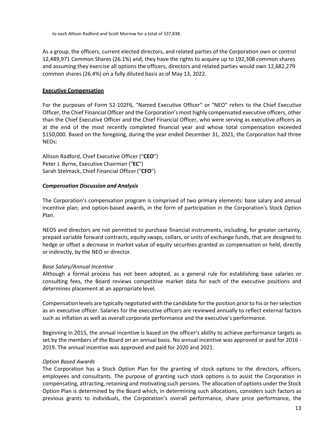to each Allison Radford and Scott Morrow for a total of 337,838.

As a group, the officers, current elected directors, and related parties of the Corporation own or control 12,489,971 Common Shares (26.1%) and, they have the rights to acquire up to 192,308 common shares and assuming they exercise all options the officers, directors and related parties would own 12,682,279 common shares (26.4%) on a fully diluted basis as of May 13, 2022.

# **Executive Compensation**

For the purposes of Form 52-102F6, "Named Executive Officer" or "NEO" refers to the Chief Executive Officer, the Chief Financial Officer and the Corporation's most highly compensated executive officers, other than the Chief Executive Officer and the Chief Financial Officer, who were serving as executive officers as at the end of the most recently completed financial year and whose total compensation exceeded \$150,000. Based on the foregoing, during the year ended December 31, 2021, the Corporation had three NEOs:

Allison Radford, Chief Executive Officer ("**CEO**") Peter J. Byrne, Executive Chairman ("**EC**") Sarah Stelmack, Chief Financial Officer ("**CFO**")

# *Compensation Discussion and Analysis*

The Corporation's compensation program is comprised of two primary elements: base salary and annual incentive plan; and option-based awards, in the form of participation in the Corporation's Stock Option Plan.

NEOS and directors are not permitted to purchase financial instruments, including, for greater certainty, prepaid variable forward contracts, equity swaps, collars, or units of exchange funds, that are designed to hedge or offset a decrease in market value of equity securities granted as compensation or held, directly or indirectly, by the NEO or director.

# *Base Salary/Annual Incentive*

Although a formal process has not been adopted, as a general rule for establishing base salaries or consulting fees, the Board reviews competitive market data for each of the executive positions and determines placement at an appropriate level.

Compensation levels are typically negotiated with the candidate for the position prior to his or her selection as an executive officer. Salaries for the executive officers are reviewed annually to reflect external factors such as inflation as well as overall corporate performance and the executive's performance.

Beginning in 2015, the annual incentive is based on the officer's ability to achieve performance targets as set by the members of the Board on an annual basis. No annual incentive was approved or paid for 2016 - 2019. The annual incentive was approved and paid for 2020 and 2021.

# *Option Based Awards*

The Corporation has a Stock Option Plan for the granting of stock options to the directors, officers, employees and consultants. The purpose of granting such stock options is to assist the Corporation in compensating, attracting, retaining and motivating such persons. The allocation of options under the Stock Option Plan is determined by the Board which, in determining such allocations, considers such factors as previous grants to individuals, the Corporation's overall performance, share price performance, the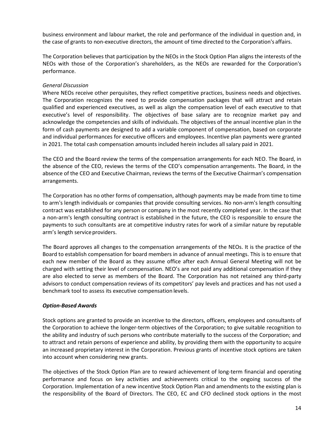business environment and labour market, the role and performance of the individual in question and, in the case of grants to non-executive directors, the amount of time directed to the Corporation's affairs.

The Corporation believes that participation by the NEOs in the Stock Option Plan aligns the interests of the NEOs with those of the Corporation's shareholders, as the NEOs are rewarded for the Corporation's performance.

# *General Discussion*

Where NEOs receive other perquisites, they reflect competitive practices, business needs and objectives. The Corporation recognizes the need to provide compensation packages that will attract and retain qualified and experienced executives, as well as align the compensation level of each executive to that executive's level of responsibility. The objectives of base salary are to recognize market pay and acknowledge the competencies and skills of individuals. The objectives of the annual incentive plan in the form of cash payments are designed to add a variable component of compensation, based on corporate and individual performances for executive officers and employees. Incentive plan payments were granted in 2021. The total cash compensation amounts included herein includes all salary paid in 2021.

The CEO and the Board review the terms of the compensation arrangements for each NEO. The Board, in the absence of the CEO, reviews the terms of the CEO's compensation arrangements. The Board, in the absence of the CEO and Executive Chairman, reviews the terms of the Executive Chairman's compensation arrangements.

The Corporation has no other forms of compensation, although payments may be made from time to time to arm's length individuals or companies that provide consulting services. No non-arm's length consulting contract was established for any person or company in the most recently completed year. In the case that a non-arm's length consulting contract is established in the future, the CEO is responsible to ensure the payments to such consultants are at competitive industry rates for work of a similar nature by reputable arm's length service providers.

The Board approves all changes to the compensation arrangements of the NEOs. It is the practice of the Board to establish compensation for board members in advance of annual meetings. This is to ensure that each new member of the Board as they assume office after each Annual General Meeting will not be charged with setting their level of compensation. NEO's are not paid any additional compensation if they are also elected to serve as members of the Board. The Corporation has not retained any third-party advisors to conduct compensation reviews of its competitors' pay levels and practices and has not used a benchmark tool to assess its executive compensation levels.

# *Option-Based Awards*

Stock options are granted to provide an incentive to the directors, officers, employees and consultants of the Corporation to achieve the longer-term objectives of the Corporation; to give suitable recognition to the ability and industry of such persons who contribute materially to the success of the Corporation; and to attract and retain persons of experience and ability, by providing them with the opportunity to acquire an increased proprietary interest in the Corporation. Previous grants of incentive stock options are taken into account when considering new grants.

The objectives of the Stock Option Plan are to reward achievement of long-term financial and operating performance and focus on key activities and achievements critical to the ongoing success of the Corporation. Implementation of a new incentive Stock Option Plan and amendments to the existing plan is the responsibility of the Board of Directors. The CEO, EC and CFO declined stock options in the most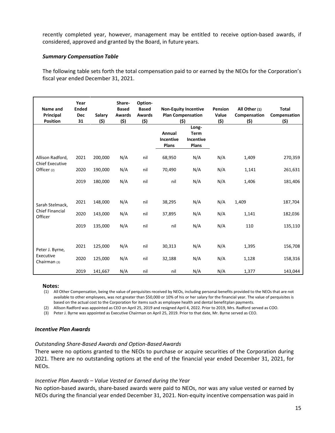recently completed year, however, management may be entitled to receive option-based awards, if considered, approved and granted by the Board, in future years.

# *Summary Compensation Table*

The following table sets forth the total compensation paid to or earned by the NEOs for the Corporation's fiscal year ended December 31, 2021.

| Name and<br>Principal<br><b>Position</b>     | Year<br><b>Ended</b><br><b>Dec</b><br>31 | <b>Salary</b><br>(5) | Share-<br><b>Based</b><br><b>Awards</b><br>(5) | Option-<br><b>Based</b><br><b>Awards</b><br>(\$) |                              | <b>Non-Equity Incentive</b><br><b>Plan Compensation</b><br>(\$) | Pension<br>Value<br>(\$) | All Other (1)<br>Compensation<br>(\$) | <b>Total</b><br>Compensation<br><u>(\$)</u> |
|----------------------------------------------|------------------------------------------|----------------------|------------------------------------------------|--------------------------------------------------|------------------------------|-----------------------------------------------------------------|--------------------------|---------------------------------------|---------------------------------------------|
|                                              |                                          |                      |                                                |                                                  | Annual<br>Incentive<br>Plans | Long-<br><b>Term</b><br>Incentive<br>Plans                      |                          |                                       |                                             |
| Allison Radford,                             | 2021                                     | 200,000              | N/A                                            | nil                                              | 68,950                       | N/A                                                             | N/A                      | 1,409                                 | 270,359                                     |
| <b>Chief Executive</b><br>Officer (2)        | 2020                                     | 190,000              | N/A                                            | nil                                              | 70,490                       | N/A                                                             | N/A                      | 1,141                                 | 261,631                                     |
|                                              | 2019                                     | 180,000              | N/A                                            | nil                                              | nil                          | N/A                                                             | N/A                      | 1,406                                 | 181,406                                     |
|                                              |                                          |                      |                                                |                                                  |                              |                                                                 |                          |                                       |                                             |
| Sarah Stelmack,                              | 2021                                     | 148,000              | N/A                                            | nil                                              | 38,295                       | N/A                                                             | N/A                      | 1,409                                 | 187,704                                     |
| Chief Financial<br>Officer                   | 2020                                     | 143,000              | N/A                                            | nil                                              | 37,895                       | N/A                                                             | N/A                      | 1,141                                 | 182,036                                     |
|                                              | 2019                                     | 135,000              | N/A                                            | nil                                              | nil                          | N/A                                                             | N/A                      | 110                                   | 135,110                                     |
|                                              |                                          |                      |                                                |                                                  |                              |                                                                 |                          |                                       |                                             |
| Peter J. Byrne,<br>Executive<br>Chairman (3) | 2021                                     | 125,000              | N/A                                            | nil                                              | 30,313                       | N/A                                                             | N/A                      | 1,395                                 | 156,708                                     |
|                                              | 2020                                     | 125,000              | N/A                                            | nil                                              | 32,188                       | N/A                                                             | N/A                      | 1,128                                 | 158,316                                     |
|                                              | 2019                                     | 141,667              | N/A                                            | nil                                              | nil                          | N/A                                                             | N/A                      | 1,377                                 | 143,044                                     |

#### **Notes:**

(1) All Other Compensation, being the value of perquisites received by NEOs, including personal benefits provided to the NEOs that are not available to other employees, was not greater than \$50,000 or 10% of his or her salary for the financial year. The value of perquisites is based on the actual cost to the Corporation for items such as employee health and dental benefit plan payments.

(2) Allison Radford was appointed as CEO on April 25, 2019 and resigned April 4, 2022. Prior to 2019, Mrs. Radford served as COO.

(3) Peter J. Byrne was appointed as Executive Chairman on April 25, 2019. Prior to that date, Mr. Byrne served as CEO.

#### *Incentive Plan Awards*

# *Outstanding Share-Based Awards and Option-Based Awards*

There were no options granted to the NEOs to purchase or acquire securities of the Corporation during 2021. There are no outstanding options at the end of the financial year ended December 31, 2021, for NEOs.

# *Incentive Plan Awards – Value Vested or Earned during the Year*

No option-based awards, share-based awards were paid to NEOs, nor was any value vested or earned by NEOs during the financial year ended December 31, 2021. Non-equity incentive compensation was paid in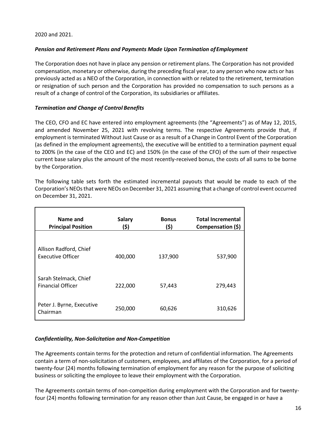2020 and 2021.

# *Pension and Retirement Plans and Payments Made Upon Termination of Employment*

The Corporation does not have in place any pension or retirement plans. The Corporation has not provided compensation, monetary or otherwise, during the preceding fiscal year, to any person who now acts or has previously acted as a NEO of the Corporation, in connection with or related to the retirement, termination or resignation of such person and the Corporation has provided no compensation to such persons as a result of a change of control of the Corporation, its subsidiaries or affiliates.

# *Termination and Change of Control Benefits*

The CEO, CFO and EC have entered into employment agreements (the "Agreements") as of May 12, 2015, and amended November 25, 2021 with revolving terms. The respective Agreements provide that, if employment is terminated Without Just Cause or as a result of a Change in Control Event of the Corporation (as defined in the employment agreements), the executive will be entitled to a termination payment equal to 200% (in the case of the CEO and EC) and 150% (in the case of the CFO) of the sum of their respective current base salary plus the amount of the most recently-received bonus, the costs of all sums to be borne by the Corporation.

The following table sets forth the estimated incremental payouts that would be made to each of the Corporation's NEOs that were NEOs on December 31, 2021 assuming that a change of control event occurred on December 31, 2021.

| Name and<br><b>Principal Position</b>              | <b>Salary</b><br>(\$) | <b>Bonus</b><br>(\$) | <b>Total Incremental</b><br>Compensation (\$) |
|----------------------------------------------------|-----------------------|----------------------|-----------------------------------------------|
| Allison Radford, Chief<br><b>Executive Officer</b> | 400,000               | 137,900              | 537,900                                       |
| Sarah Stelmack, Chief<br><b>Financial Officer</b>  | 222,000               | 57,443               | 279,443                                       |
| Peter J. Byrne, Executive<br>Chairman              | 250,000               | 60,626               | 310,626                                       |

# *Confidentiality, Non-Solicitation and Non-Competition*

The Agreements contain terms for the protection and return of confidential information. The Agreements contain a term of non-solicitation of customers, employees, and affilates of the Corporation, for a period of twenty-four (24) months following termination of employment for any reason for the purpose of soliciting business or soliciting the employee to leave their employment with the Corporation.

The Agreements contain terms of non-compeition during employment with the Corporation and for twentyfour (24) months following termination for any reason other than Just Cause, be engaged in or have a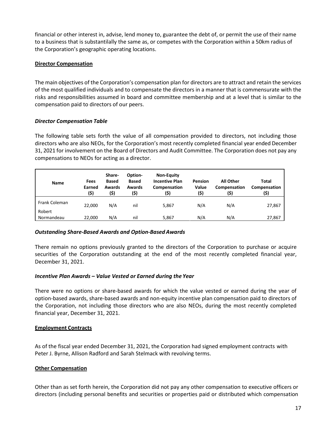financial or other interest in, advise, lend money to, guarantee the debt of, or permit the use of their name to a business that is substantilally the same as, or competes with the Corporation within a 50km radius of the Corporation's geographic operating locations.

# **Director Compensation**

The main objectives of the Corporation's compensation plan for directors are to attract and retain the services of the most qualified individuals and to compensate the directors in a manner that is commensurate with the risks and responsibilities assumed in board and committee membership and at a level that is similar to the compensation paid to directors of our peers.

# *Director Compensation Table*

The following table sets forth the value of all compensation provided to directors, not including those directors who are also NEOs, for the Corporation's most recently completed financial year ended December 31, 2021 for involvement on the Board of Directors and Audit Committee. The Corporation does not pay any compensations to NEOs for acting as a director.

| Name                    | Fees<br>Earned<br>(\$) | Share-<br><b>Based</b><br>Awards<br>(\$) | Option-<br><b>Based</b><br>Awards<br>(\$) | <b>Non-Equity</b><br><b>Incentive Plan</b><br>Compensation<br>(\$) | <b>Pension</b><br>Value<br>(\$) | <b>All Other</b><br>Compensation<br>(\$) | <b>Total</b><br>Compensation<br>(\$) |
|-------------------------|------------------------|------------------------------------------|-------------------------------------------|--------------------------------------------------------------------|---------------------------------|------------------------------------------|--------------------------------------|
| Frank Coleman<br>Robert | 22.000                 | N/A                                      | nil                                       | 5,867                                                              | N/A                             | N/A                                      | 27,867                               |
| Normandeau              | 22,000                 | N/A                                      | nil                                       | 5.867                                                              | N/A                             | N/A                                      | 27,867                               |

# *Outstanding Share-Based Awards and Option-Based Awards*

There remain no options previously granted to the directors of the Corporation to purchase or acquire securities of the Corporation outstanding at the end of the most recently completed financial year, December 31, 2021.

# *Incentive Plan Awards – Value Vested or Earned during the Year*

There were no options or share-based awards for which the value vested or earned during the year of option-based awards, share-based awards and non-equity incentive plan compensation paid to directors of the Corporation, not including those directors who are also NEOs, during the most recently completed financial year, December 31, 2021.

# **Employment Contracts**

As of the fiscal year ended December 31, 2021, the Corporation had signed employment contracts with Peter J. Byrne, Allison Radford and Sarah Stelmack with revolving terms.

# **Other Compensation**

Other than as set forth herein, the Corporation did not pay any other compensation to executive officers or directors (including personal benefits and securities or properties paid or distributed which compensation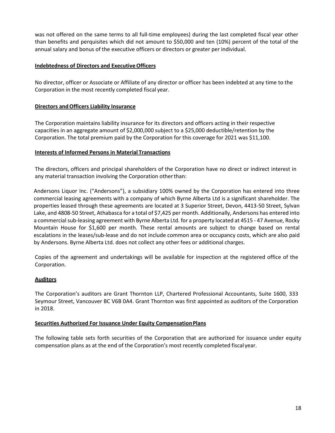was not offered on the same terms to all full-time employees) during the last completed fiscal year other than benefits and perquisites which did not amount to \$50,000 and ten (10%) percent of the total of the annual salary and bonus of the executive officers or directors or greater per individual.

# **Indebtedness of Directors and Executive Officers**

No director, officer or Associate or Affiliate of any director or officer has been indebted at any time to the Corporation in the most recently completed fiscal year.

# **Directors and Officers Liability Insurance**

The Corporation maintains liability insurance for its directors and officers acting in their respective capacities in an aggregate amount of \$2,000,000 subject to a \$25,000 deductible/retention by the Corporation. The total premium paid by the Corporation for this coverage for 2021 was \$11,100.

# **Interests of Informed Persons in Material Transactions**

The directors, officers and principal shareholders of the Corporation have no direct or indirect interest in any material transaction involving the Corporation other than:

Andersons Liquor Inc. ("Andersons"), a subsidiary 100% owned by the Corporation has entered into three commercial leasing agreements with a company of which Byrne Alberta Ltd is a significant shareholder. The properties leased through these agreements are located at 3 Superior Street, Devon, 4413-50 Street, Sylvan Lake, and 4808-50 Street, Athabasca for a total of \$7,425 per month. Additionally, Andersons has entered into a commercial sub-leasing agreement with Byrne Alberta Ltd. for a property located at 4515 - 47 Avenue, Rocky Mountain House for \$1,600 per month. These rental amounts are subject to change based on rental escalations in the leases/sub-lease and do not include common area or occupancy costs, which are also paid by Andersons. Byrne Alberta Ltd. does not collect any other fees or additional charges.

Copies of the agreement and undertakings will be available for inspection at the registered office of the Corporation.

# **Auditors**

The Corporation's auditors are Grant Thornton LLP, Chartered Professional Accountants, Suite 1600, 333 Seymour Street, Vancouver BC V6B 0A4. Grant Thornton was first appointed as auditors of the Corporation in 2018.

# **Securities Authorized For Issuance Under Equity Compensation Plans**

The following table sets forth securities of the Corporation that are authorized for issuance under equity compensation plans as at the end of the Corporation's most recently completed fiscal year.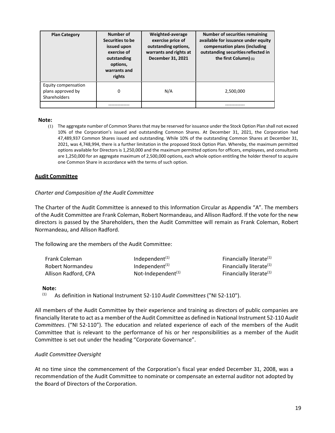| <b>Plan Category</b>                                            | Number of<br>Securities to be<br>issued upon<br>exercise of<br>outstanding<br>options,<br>warrants and<br>rights | Weighted-average<br>exercise price of<br>outstanding options,<br>warrants and rights at<br>December 31, 2021 | <b>Number of securities remaining</b><br>available for issuance under equity<br>compensation plans (including<br>outstanding securities reflected in<br>the first Column) (1) |
|-----------------------------------------------------------------|------------------------------------------------------------------------------------------------------------------|--------------------------------------------------------------------------------------------------------------|-------------------------------------------------------------------------------------------------------------------------------------------------------------------------------|
| Equity compensation<br>plans approved by<br><b>Shareholders</b> | 0                                                                                                                | N/A                                                                                                          | 2,500,000                                                                                                                                                                     |
|                                                                 |                                                                                                                  |                                                                                                              |                                                                                                                                                                               |

#### **Note:**

(1) The aggregate number of Common Shares that may be reserved for issuance under the Stock Option Plan shall not exceed 10% of the Corporation's issued and outstanding Common Shares. At December 31, 2021, the Corporation had 47,489,937 Common Shares issued and outstanding. While 10% of the outstanding Common Shares at December 31, 2021, was 4,748,994, there is a further limitation in the proposed Stock Option Plan. Whereby, the maximum permitted options available for Directors is 1,250,000 and the maximum permitted options for officers, employees, and consultants are 1,250,000 for an aggregate maximum of 2,500,000 options, each whole option entitling the holder thereof to acquire one Common Share in accordance with the terms of such option.

#### **Audit Committee**

#### *Charter and Composition of the Audit Committee*

The Charter of the Audit Committee is annexed to this Information Circular as Appendix "A". The members of the Audit Committee are Frank Coleman, Robert Normandeau, and Allison Radford. If the vote for the new directors is passed by the Shareholders, then the Audit Committee will remain as Frank Coleman, Robert Normandeau, and Allison Radford.

The following are the members of the Audit Committee:

| <b>Frank Coleman</b> | Independent $(1)$     | Financially literate <sup>(1)</sup> |
|----------------------|-----------------------|-------------------------------------|
| Robert Normandeu     | Independent $(1)$     | Financially literate <sup>(1)</sup> |
| Allison Radford, CPA | Not-Independent $(1)$ | Financially literate <sup>(1)</sup> |

#### **Note:**

(1) As definition in National Instrument 52-110 *Audit Committees* ("NI 52-110").

All members of the Audit Committee by their experience and training as directors of public companies are financially literate to act as a member of the Audit Committee as defined in National Instrument 52-110 A*udit Committees*. ("NI 52-110"). The education and related experience of each of the members of the Audit Committee that is relevant to the performance of his or her responsibilities as a member of the Audit Committee is set out under the heading "Corporate Governance".

#### *Audit Committee Oversight*

At no time since the commencement of the Corporation's fiscal year ended December 31, 2008, was a recommendation of the Audit Committee to nominate or compensate an external auditor not adopted by the Board of Directors of the Corporation.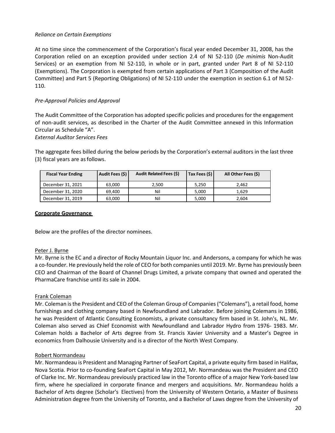# *Reliance on Certain Exemptions*

At no time since the commencement of the Corporation's fiscal year ended December 31, 2008, has the Corporation relied on an exception provided under section 2.4 of NI 52-110 (*De minimis* Non-Audit Services) or an exemption from NI 52-110, in whole or in part, granted under Part 8 of NI 52-110 (Exemptions). The Corporation is exempted from certain applications of Part 3 (Composition of the Audit Committee) and Part 5 (Reporting Obligations) of NI 52-110 under the exemption in section 6.1 of NI 52- 110.

# *Pre-Approval Policies and Approval*

The Audit Committee of the Corporation has adopted specific policies and procedures for the engagement of non-audit services, as described in the Charter of the Audit Committee annexed in this Information Circular as Schedule "A".

# *External Auditor Services Fees*

The aggregate fees billed during the below periods by the Corporation's external auditors in the last three (3) fiscal years are as follows.

| <b>Fiscal Year Ending</b> | Audit Fees (\$) | Audit Related Fees (\$) | Tax Fees (\$) | All Other Fees (\$) |
|---------------------------|-----------------|-------------------------|---------------|---------------------|
| December 31, 2021         | 63.000          | 2.500                   | 5.250         | 2.462               |
| December 31, 2020         | 69.400          | Nil                     | 5.000         | 1.629               |
| December 31, 2019         | 63,000          | Nil                     | 5.000         | 2.604               |

# **Corporate Governance**

Below are the profiles of the director nominees.

# Peter J. Byrne

Mr. Byrne is the EC and a director of Rocky Mountain Liquor Inc. and Andersons, a company for which he was a co-founder. He previously held the role of CEO for both companies until 2019. Mr. Byrne has previously been CEO and Chairman of the Board of Channel Drugs Limited, a private company that owned and operated the PharmaCare franchise until its sale in 2004.

# Frank Coleman

Mr. Coleman is the President and CEO of the Coleman Group of Companies ("Colemans"), a retail food, home furnishings and clothing company based in Newfoundland and Labrador. Before joining Colemans in 1986, he was President of Atlantic Consulting Economists, a private consultancy firm based in St. John's, NL. Mr. Coleman also served as Chief Economist with Newfoundland and Labrador Hydro from 1976- 1983. Mr. Coleman holds a Bachelor of Arts degree from St. Francis Xavier University and a Master's Degree in economics from Dalhousie University and is a director of the North West Company.

#### Robert Normandeau

Mr. Normandeau is President and Managing Partner of SeaFort Capital, a private equity firm based in Halifax, Nova Scotia. Prior to co-founding SeaFort Capital in May 2012, Mr. Normandeau was the President and CEO of Clarke Inc. Mr. Normandeau previously practiced law in the Toronto office of a major New York-based law firm, where he specialized in corporate finance and mergers and acquisitions. Mr. Normandeau holds a Bachelor of Arts degree (Scholar's Electives) from the University of Western Ontario, a Master of Business Administration degree from the University of Toronto, and a Bachelor of Laws degree from the University of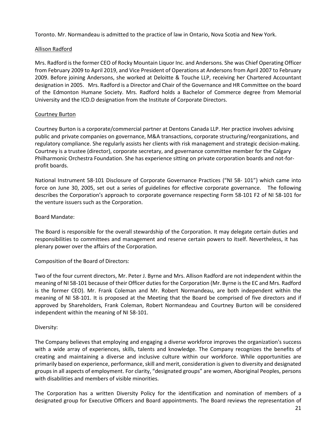Toronto. Mr. Normandeau is admitted to the practice of law in Ontario, Nova Scotia and New York.

# Allison Radford

Mrs. Radford is the former CEO of Rocky Mountain Liquor Inc. and Andersons. She was Chief Operating Officer from February 2009 to April 2019, and Vice President of Operations at Andersons from April 2007 to February 2009. Before joining Andersons, she worked at Deloitte & Touche LLP, receiving her Chartered Accountant designation in 2005. Mrs. Radford is a Director and Chair of the Governance and HR Committee on the board of the Edmonton Humane Society. Mrs. Radford holds a Bachelor of Commerce degree from Memorial University and the ICD.D designation from the Institute of Corporate Directors.

# Courtney Burton

Courtney Burton is a corporate/commercial partner at Dentons Canada LLP. Her practice involves advising public and private companies on governance, M&A transactions, corporate structuring/reorganizations, and regulatory compliance. She regularly assists her clients with risk management and strategic decision-making. Courtney is a trustee (director), corporate secretary, and governance committee member for the Calgary Philharmonic Orchestra Foundation. She has experience sitting on private corporation boards and not-forprofit boards.

National Instrument 58-101 Disclosure of Corporate Governance Practices ("NI 58- 101") which came into force on June 30, 2005, set out a series of guidelines for effective corporate governance. The following describes the Corporation's approach to corporate governance respecting Form 58-101 F2 of NI 58-101 for the venture issuers such as the Corporation.

# Board Mandate:

The Board is responsible for the overall stewardship of the Corporation. It may delegate certain duties and responsibilities to committees and management and reserve certain powers to itself. Nevertheless, it has plenary power over the affairs of the Corporation.

# Composition of the Board of Directors:

Two of the four current directors, Mr. Peter J. Byrne and Mrs. Allison Radford are not independent within the meaning of NI 58-101 because of their Officer duties for the Corporation (Mr. Byrne is the EC and Mrs. Radford is the former CEO). Mr. Frank Coleman and Mr. Robert Normandeau, are both independent within the meaning of NI 58-101. It is proposed at the Meeting that the Board be comprised of five directors and if approved by Shareholders, Frank Coleman, Robert Normandeau and Courtney Burton will be considered independent within the meaning of NI 58-101.

# Diversity:

The Company believes that employing and engaging a diverse workforce improves the organization's success with a wide array of experiences, skills, talents and knowledge. The Company recognizes the benefits of creating and maintaining a diverse and inclusive culture within our workforce. While opportunities are primarily based on experience, performance, skill and merit, consideration is given to diversity and designated groups in all aspects of employment. For clarity, "designated groups" are women, Aboriginal Peoples, persons with disabilities and members of visible minorities.

The Corporation has a written Diversity Policy for the identification and nomination of members of a designated group for Executive Officers and Board appointments. The Board reviews the representation of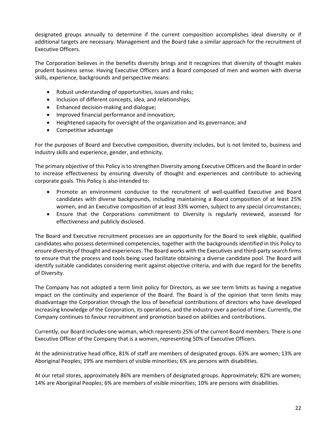designated groups annually to determine if the current composition accomplishes ideal diversity or if additional targets are necessary. Management and the Board take a similar approach for the recruitment of Executive Officers.

The Corporation believes in the benefits diversity brings and it recognizes that diversity of thought makes prudent business sense. Having Executive Officers and a Board composed of men and women with diverse skills, experience, backgrounds and perspective means:

- Robust understanding of opportunities, issues and risks;
- Inclusion of different concepts, idea, and relationships;
- Enhanced decision-making and dialogue;
- Improved financial performance and innovation;
- Heightened capacity for oversight of the organization and its governance; and
- Competitive advantage

For the purposes of Board and Executive composition, diversity includes, but is not limited to, business and industry skills and experience, gender, and ethnicity.

The primary objective of this Policy is to strengthen Diversity among Executive Officers and the Board in order to increase effectiveness by ensuring diversity of thought and experiences and contribute to achieving corporate goals. This Policy is also intended to:

- Promote an environment conducive to the recruitment of well-qualified Executive and Board candidates with diverse backgrounds, including maintaining a Board composition of at least 25% women, and an Executive composition of at least 33% women, subject to any special circumstances;
- Ensure that the Corporations commitment to Diversity is regularly reviewed, assessed for effectiveness and publicly disclosed.

The Board and Executive recruitment processes are an opportunity for the Board to seek eligible, qualified candidates who possess determined competencies, together with the backgrounds identified in this Policy to ensure diversity of thought and experiences. The Board works with the Executives and third-party search firms to ensure that the process and tools being used facilitate obtaining a diverse candidate pool. The Board will identify suitable candidates considering merit against objective criteria, and with due regard for the benefits of Diversity.

The Company has not adopted a term limit policy for Directors, as we see term limits as having a negative impact on the continuity and experience of the Board. The Board is of the opinion that term limits may disadvantage the Corporation through the loss of beneficial contributions of directors who have developed increasing knowledge of the Corporation, its operations, and the industry over a period of time. Currently, the Company continues to favour recruitment and promotion based on abilities and contributions.

Currently, our Board includes one woman, which represents 25% of the current Board members. There is one Executive Officer of the Company that is a women, representing 50% of Executive Officers.

At the administrative head office, 81% of staff are members of designated groups. 63% are women; 13% are Aboriginal Peoples; 19% are members of visible minorities; 6% are persons with disabilities.

At our retail stores, approximately 86% are members of designated groups. Approximately; 82% are women; 14% are Aboriginal Peoples; 6% are members of visible minorities; 10% are persons with disabilities.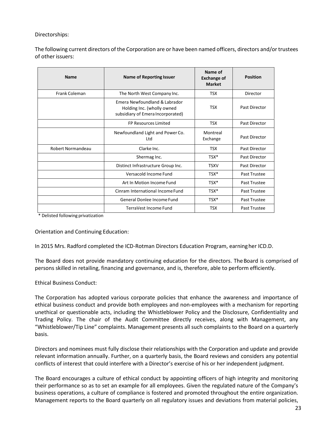# Directorships:

The following current directors of the Corporation are or have been named officers, directors and/or trustees of other issuers:

| <b>Name</b>       | Name of Reporting Issuer                                                                         | Name of<br><b>Exchange of</b><br><b>Market</b> | <b>Position</b>      |
|-------------------|--------------------------------------------------------------------------------------------------|------------------------------------------------|----------------------|
| Frank Coleman     | The North West Company Inc.                                                                      | <b>TSX</b>                                     | Director             |
|                   | Emera Newfoundland & Labrador<br>Holding Inc. (wholly owned<br>subsidiary of Emera Incorporated) | <b>TSX</b>                                     | <b>Past Director</b> |
|                   | FP Resources Limited                                                                             | <b>TSX</b>                                     | <b>Past Director</b> |
|                   | Newfoundland Light and Power Co.<br>Ltd                                                          | Montreal<br>Exchange                           | <b>Past Director</b> |
| Robert Normandeau | Clarke Inc.                                                                                      | <b>TSX</b>                                     | <b>Past Director</b> |
|                   | Shermag Inc.                                                                                     | $TSX^*$                                        | <b>Past Director</b> |
|                   | Distinct Infrastructure Group Inc.                                                               | <b>TSXV</b>                                    | Past Director        |
|                   | Versacold Income Fund                                                                            | TSX*                                           | Past Trustee         |
|                   | Art In Motion Income Fund                                                                        | $TSX^*$                                        | Past Trustee         |
|                   | Cinram International Income Fund                                                                 | $TSX^*$                                        | Past Trustee         |
|                   | General Donlee Income Fund                                                                       | $TSX*$                                         | <b>Past Trustee</b>  |
|                   | TerraVest Income Fund                                                                            | <b>TSX</b>                                     | Past Trustee         |

\* Delisted following privatization

Orientation and Continuing Education:

In 2015 Mrs. Radford completed the ICD-Rotman Directors Education Program, earning her ICD.D.

The Board does not provide mandatory continuing education for the directors. The Board is comprised of persons skilled in retailing, financing and governance, and is, therefore, able to perform efficiently.

# Ethical Business Conduct:

The Corporation has adopted various corporate policies that enhance the awareness and importance of ethical business conduct and provide both employees and non-employees with a mechanism for reporting unethical or questionable acts, including the Whistleblower Policy and the Disclosure, Confidentiality and Trading Policy. The chair of the Audit Committee directly receives, along with Management, any "Whistleblower/Tip Line" complaints. Management presents all such complaints to the Board on a quarterly basis.

Directors and nominees must fully disclose their relationships with the Corporation and update and provide relevant information annually. Further, on a quarterly basis, the Board reviews and considers any potential conflicts of interest that could interfere with a Director's exercise of his or her independent judgment.

The Board encourages a culture of ethical conduct by appointing officers of high integrity and monitoring their performance so as to set an example for all employees. Given the regulated nature of the Company's business operations, a culture of compliance is fostered and promoted throughout the entire organization. Management reports to the Board quarterly on all regulatory issues and deviations from material policies,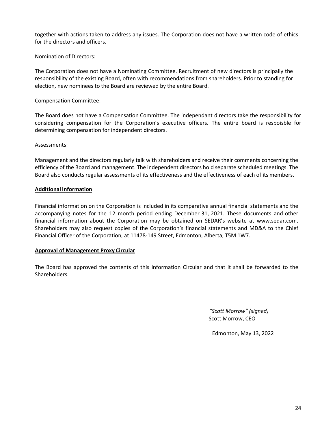together with actions taken to address any issues. The Corporation does not have a written code of ethics for the directors and officers.

Nomination of Directors:

The Corporation does not have a Nominating Committee. Recruitment of new directors is principally the responsibility of the existing Board, often with recommendations from shareholders. Prior to standing for election, new nominees to the Board are reviewed by the entire Board.

# Compensation Committee:

The Board does not have a Compensation Committee. The independant directors take the responsibility for considering compensation for the Corporation's executive officers. The entire board is respoisble for determining compensation for independent directors.

Assessments:

Management and the directors regularly talk with shareholders and receive their comments concerning the efficiency of the Board and management. The independent directors hold separate scheduled meetings. The Board also conducts regular assessments of its effectiveness and the effectiveness of each of its members.

# **Additional Information**

Financial information on the Corporation is included in its comparative annual financial statements and the accompanying notes for the 12 month period ending December 31, 2021. These documents and other financial information about the Corporation may be obtained on SEDAR's website at www.sedar.com. Shareholders may also request copies of the Corporation's financial statements and MD&A to the Chief Financial Officer of the Corporation, at 11478-149 Street, Edmonton, Alberta, T5M 1W7.

# **Approval of Management Proxy Circular**

The Board has approved the contents of this Information Circular and that it shall be forwarded to the Shareholders.

> *"Scott Morrow" (signed)* Scott Morrow, CEO

Edmonton, May 13, 2022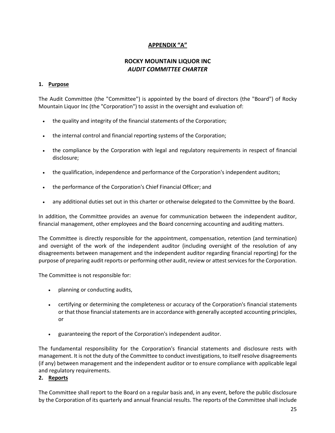# **APPENDIX "A"**

# **ROCKY MOUNTAIN LIQUOR INC**  *AUDIT COMMITTEE CHARTER*

# **1. Purpose**

The Audit Committee (the "Committee") is appointed by the board of directors (the "Board") of Rocky Mountain Liquor Inc (the "Corporation") to assist in the oversight and evaluation of:

- the quality and integrity of the financial statements of the Corporation;
- the internal control and financial reporting systems of the Corporation;
- the compliance by the Corporation with legal and regulatory requirements in respect of financial disclosure;
- the qualification, independence and performance of the Corporation's independent auditors;
- the performance of the Corporation's Chief Financial Officer; and
- any additional duties set out in this charter or otherwise delegated to the Committee by the Board.

In addition, the Committee provides an avenue for communication between the independent auditor, financial management, other employees and the Board concerning accounting and auditing matters.

The Committee is directly responsible for the appointment, compensation, retention (and termination) and oversight of the work of the independent auditor (including oversight of the resolution of any disagreements between management and the independent auditor regarding financial reporting) for the purpose of preparing audit reports or performing other audit, review or attest services for the Corporation.

The Committee is not responsible for:

- planning or conducting audits,
- certifying or determining the completeness or accuracy of the Corporation's financial statements or that those financial statements are in accordance with generally accepted accounting principles, or
- guaranteeing the report of the Corporation's independent auditor.

The fundamental responsibility for the Corporation's financial statements and disclosure rests with management. It is not the duty of the Committee to conduct investigations, to itself resolve disagreements (if any) between management and the independent auditor or to ensure compliance with applicable legal and regulatory requirements.

# **2. Reports**

The Committee shall report to the Board on a regular basis and, in any event, before the public disclosure by the Corporation of its quarterly and annual financial results. The reports of the Committee shall include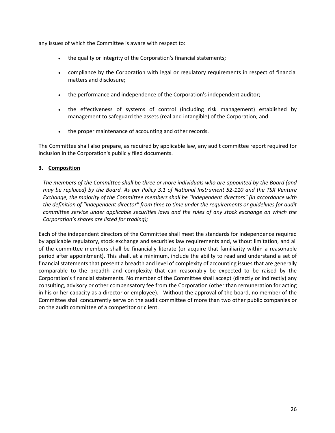any issues of which the Committee is aware with respect to:

- the quality or integrity of the Corporation's financial statements;
- compliance by the Corporation with legal or regulatory requirements in respect of financial matters and disclosure;
- the performance and independence of the Corporation's independent auditor;
- the effectiveness of systems of control (including risk management) established by management to safeguard the assets (real and intangible) of the Corporation; and
- the proper maintenance of accounting and other records.

The Committee shall also prepare, as required by applicable law, any audit committee report required for inclusion in the Corporation's publicly filed documents.

# **3. Composition**

*The members of the Committee shall be three or more individuals who are appointed by the Board (and may be replaced) by the Board. As per Policy 3.1 of National Instrument 52-110 and the TSX Venture Exchange, the majority of the Committee members shall be "independent directors" (in accordance with the definition of "independent director" from time to time under the requirements or guidelines for audit committee service under applicable securities laws and the rules of any stock exchange on which the Corporation's shares are listed for trading);* 

Each of the independent directors of the Committee shall meet the standards for independence required by applicable regulatory, stock exchange and securities law requirements and, without limitation, and all of the committee members shall be financially literate (or acquire that familiarity within a reasonable period after appointment). This shall, at a minimum, include the ability to read and understand a set of financial statements that present a breadth and level of complexity of accounting issues that are generally comparable to the breadth and complexity that can reasonably be expected to be raised by the Corporation's financial statements. No member of the Committee shall accept (directly or indirectly) any consulting, advisory or other compensatory fee from the Corporation (other than remuneration for acting in his or her capacity as a director or employee). Without the approval of the board, no member of the Committee shall concurrently serve on the audit committee of more than two other public companies or on the audit committee of a competitor or client.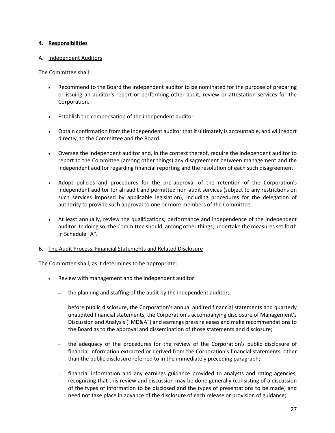# **4. Responsibilities**

# A. Independent Auditors

The Committee shall:

- Recommend to the Board the independent auditor to be nominated for the purpose of preparing or issuing an auditor's report or performing other audit, review or attestation services for the Corporation.
- Establish the compensation of the independent auditor.
- Obtain confirmation from the independent auditor that it ultimately is accountable, and will report directly, to the Committee and the Board.
- Oversee the independent auditor and, in the context thereof, require the independent auditor to report to the Committee (among other things) any disagreement between management and the independent auditor regarding financial reporting and the resolution of each such disagreement.
- Adopt policies and procedures for the pre-approval of the retention of the Corporation's independent auditor for all audit and permitted non-audit services (subject to any restrictions on such services imposed by applicable legislation), including procedures for the delegation of authority to provide such approval to one or more members of the Committee.
- At least annually, review the qualifications, performance and independence of the independent auditor. In doing so, the Committee should, among other things, undertake the measures set forth in Schedule" A".

# B. The Audit Process, Financial Statements and Related Disclosure

The Committee shall, as it determines to be appropriate:

- Review with management and the independent auditor:
	- the planning and staffing of the audit by the independent auditor;
	- before public disclosure, the Corporation's annual audited financial statements and quarterly unaudited financial statements, the Corporation's accompanying disclosure of Management's Discussion and Analysis ("MD&A") and earnings press releases and make recommendations to the Board as to the approval and dissemination of those statements and disclosure;
	- the adequacy of the procedures for the review of the Corporation's public disclosure of financial information extracted or derived from the Corporation's financial statements, other than the public disclosure referred to in the immediately preceding paragraph;
	- financial information and any earnings guidance provided to analysts and rating agencies, recognizing that this review and discussion may be done generally (consisting of a discussion of the types of information to be disclosed and the types of presentations to be made) and need not take place in advance of the disclosure of each release or provision of guidance;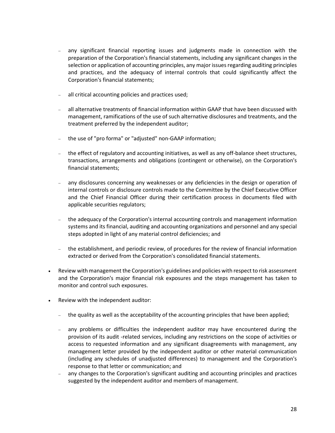- any significant financial reporting issues and judgments made in connection with the preparation of the Corporation's financial statements, including any significant changes in the selection or application of accounting principles, any major issues regarding auditing principles and practices, and the adequacy of internal controls that could significantly affect the Corporation's financial statements;
- all critical accounting policies and practices used;
- all alternative treatments of financial information within GAAP that have been discussed with management, ramifications of the use of such alternative disclosures and treatments, and the treatment preferred by the independent auditor;
- the use of "pro forma" or "adjusted" non-GAAP information;
- the effect of regulatory and accounting initiatives, as well as any off-balance sheet structures, transactions, arrangements and obligations (contingent or otherwise), on the Corporation's financial statements;
- any disclosures concerning any weaknesses or any deficiencies in the design or operation of internal controls or disclosure controls made to the Committee by the Chief Executive Officer and the Chief Financial Officer during their certification process in documents filed with applicable securities regulators;
- the adequacy of the Corporation's internal accounting controls and management information systems and its financial, auditing and accounting organizations and personnel and any special steps adopted in light of any material control deficiencies; and
- the establishment, and periodic review, of procedures for the review of financial information extracted or derived from the Corporation's consolidated financial statements.
- Review with management the Corporation's guidelines and policies with respect to risk assessment and the Corporation's major financial risk exposures and the steps management has taken to monitor and control such exposures.
- Review with the independent auditor:
	- the quality as well as the acceptability of the accounting principles that have been applied;
	- any problems or difficulties the independent auditor may have encountered during the provision of its audit -related services, including any restrictions on the scope of activities or access to requested information and any significant disagreements with management, any management letter provided by the independent auditor or other material communication (including any schedules of unadjusted differences) to management and the Corporation's response to that letter or communication; and
	- any changes to the Corporation's significant auditing and accounting principles and practices suggested by the independent auditor and members of management.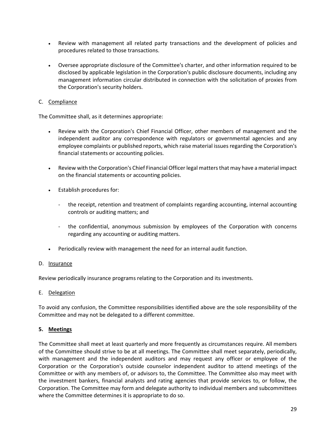- Review with management all related party transactions and the development of policies and procedures related to those transactions.
- Oversee appropriate disclosure of the Committee's charter, and other information required to be disclosed by applicable legislation in the Corporation's public disclosure documents, including any management information circular distributed in connection with the solicitation of proxies from the Corporation's security holders.

# C. Compliance

The Committee shall, as it determines appropriate:

- Review with the Corporation's Chief Financial Officer, other members of management and the independent auditor any correspondence with regulators or governmental agencies and any employee complaints or published reports, which raise material issues regarding the Corporation's financial statements or accounting policies.
- Review with the Corporation's Chief Financial Officer legal matters that may have a material impact on the financial statements or accounting policies.
- Establish procedures for:
	- the receipt, retention and treatment of complaints regarding accounting, internal accounting controls or auditing matters; and
	- the confidential, anonymous submission by employees of the Corporation with concerns regarding any accounting or auditing matters.
- Periodically review with management the need for an internal audit function.

# D. Insurance

Review periodically insurance programs relating to the Corporation and its investments.

E. Delegation

To avoid any confusion, the Committee responsibilities identified above are the sole responsibility of the Committee and may not be delegated to a different committee.

# **5. Meetings**

The Committee shall meet at least quarterly and more frequently as circumstances require. All members of the Committee should strive to be at all meetings. The Committee shall meet separately, periodically, with management and the independent auditors and may request any officer or employee of the Corporation or the Corporation's outside counselor independent auditor to attend meetings of the Committee or with any members of, or advisors to, the Committee. The Committee also may meet with the investment bankers, financial analysts and rating agencies that provide services to, or follow, the Corporation. The Committee may form and delegate authority to individual members and subcommittees where the Committee determines it is appropriate to do so.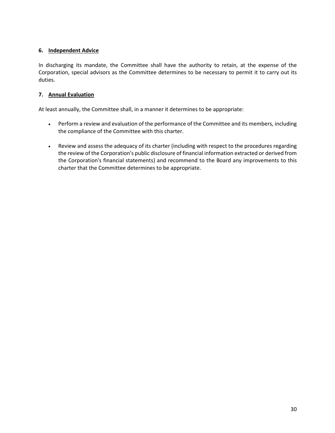# **6. Independent Advice**

In discharging its mandate, the Committee shall have the authority to retain, at the expense of the Corporation, special advisors as the Committee determines to be necessary to permit it to carry out its duties.

# **7. Annual Evaluation**

At least annually, the Committee shall, in a manner it determines to be appropriate:

- Perform a review and evaluation of the performance of the Committee and its members, including the compliance of the Committee with this charter.
- Review and assess the adequacy of its charter (including with respect to the procedures regarding the review of the Corporation's public disclosure of financial information extracted or derived from the Corporation's financial statements) and recommend to the Board any improvements to this charter that the Committee determines to be appropriate.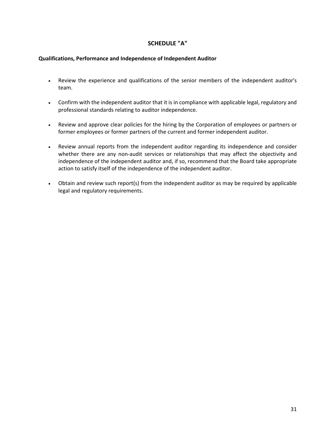# **SCHEDULE "A"**

### **Qualifications, Performance and Independence of Independent Auditor**

- Review the experience and qualifications of the senior members of the independent auditor's team.
- Confirm with the independent auditor that it is in compliance with applicable legal, regulatory and professional standards relating to auditor independence.
- Review and approve clear policies for the hiring by the Corporation of employees or partners or former employees or former partners of the current and former independent auditor.
- Review annual reports from the independent auditor regarding its independence and consider whether there are any non-audit services or relationships that may affect the objectivity and independence of the independent auditor and, if so, recommend that the Board take appropriate action to satisfy itself of the independence of the independent auditor.
- Obtain and review such report(s) from the independent auditor as may be required by applicable legal and regulatory requirements.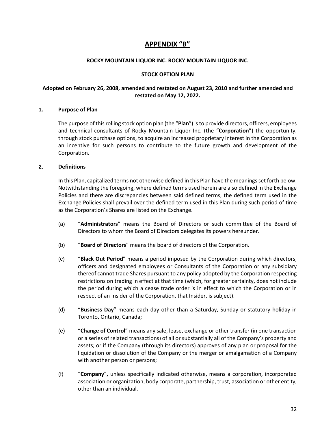# **APPENDIX "B"**

# **ROCKY MOUNTAIN LIQUOR INC. ROCKY MOUNTAIN LIQUOR INC.**

# **STOCK OPTION PLAN**

# **Adopted on February 26, 2008, amended and restated on August 23, 2010 and further amended and restated on May 12, 2022.**

# **1. Purpose of Plan**

The purpose of this rolling stock option plan (the "**Plan**") is to provide directors, officers, employees and technical consultants of Rocky Mountain Liquor Inc. (the "**Corporation**") the opportunity, through stock purchase options, to acquire an increased proprietary interest in the Corporation as an incentive for such persons to contribute to the future growth and development of the Corporation.

# **2. Definitions**

In this Plan, capitalized terms not otherwise defined in this Plan have the meanings set forth below. Notwithstanding the foregoing, where defined terms used herein are also defined in the Exchange Policies and there are discrepancies between said defined terms, the defined term used in the Exchange Policies shall prevail over the defined term used in this Plan during such period of time as the Corporation's Shares are listed on the Exchange.

- (a) "**Administrators**" means the Board of Directors or such committee of the Board of Directors to whom the Board of Directors delegates its powers hereunder.
- (b) "**Board of Directors**" means the board of directors of the Corporation.
- (c) "**Black Out Period**" means a period imposed by the Corporation during which directors, officers and designated employees or Consultants of the Corporation or any subsidiary thereof cannot trade Shares pursuant to any policy adopted by the Corporation respecting restrictions on trading in effect at that time (which, for greater certainty, does not include the period during which a cease trade order is in effect to which the Corporation or in respect of an Insider of the Corporation, that Insider, is subject).
- (d) "**Business Day**" means each day other than a Saturday, Sunday or statutory holiday in Toronto, Ontario, Canada;
- (e) "**Change of Control**" means any sale, lease, exchange or other transfer (in one transaction or a series of related transactions) of all or substantially all of the Company's property and assets; or if the Company (through its directors) approves of any plan or proposal for the liquidation or dissolution of the Company or the merger or amalgamation of a Company with another person or persons;
- (f) "**Company**", unless specifically indicated otherwise, means a corporation, incorporated association or organization, body corporate, partnership, trust, association or other entity, other than an individual.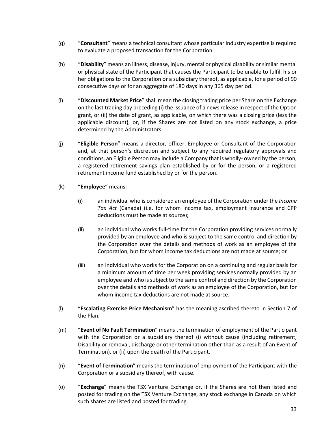- (g) "**Consultant**" means a technical consultant whose particular industry expertise is required to evaluate a proposed transaction for the Corporation.
- (h) "**Disability**" means an illness, disease, injury, mental or physical disability or similar mental or physical state of the Participant that causes the Participant to be unable to fulfill his or her obligations to the Corporation or a subsidiary thereof, as applicable, for a period of 90 consecutive days or for an aggregate of 180 days in any 365 day period.
- (i) "**Discounted Market Price**" shall mean the closing trading price per Share on the Exchange on the last trading day preceding (i) the issuance of a news release in respect of the Option grant, or (ii) the date of grant, as applicable, on which there was a closing price (less the applicable discount), or, if the Shares are not listed on any stock exchange, a price determined by the Administrators.
- (j) "**Eligible Person**" means a director, officer, Employee or Consultant of the Corporation and, at that person's discretion and subject to any required regulatory approvals and conditions, an Eligible Person may include a Company that is wholly- owned by the person, a registered retirement savings plan established by or for the person, or a registered retirement income fund established by or for the person.
- (k) "**Employee**" means:
	- (i) an individual who is considered an employee of the Corporation under the *Income Tax Act* (Canada) (i.e. for whom income tax, employment insurance and CPP deductions must be made at source);
	- (ii) an individual who works full-time for the Corporation providing services normally provided by an employee and who is subject to the same control and direction by the Corporation over the details and methods of work as an employee of the Corporation, but for whom income tax deductions are not made at source; or
	- (iii) an individual who works for the Corporation on a continuing and regular basis for a minimum amount of time per week providing services normally provided by an employee and who is subject to the same control and direction by the Corporation over the details and methods of work as an employee of the Corporation, but for whom income tax deductions are not made at source.
- (l) "**Escalating Exercise Price Mechanism**" has the meaning ascribed thereto in Section 7 of the Plan.
- (m) "**Event of No Fault Termination**" means the termination of employment of the Participant with the Corporation or a subsidiary thereof (i) without cause (including retirement, Disability or removal, discharge or other termination other than as a result of an Event of Termination), or (ii) upon the death of the Participant.
- (n) "**Event of Termination**" means the termination of employment of the Participant with the Corporation or a subsidiary thereof, with cause.
- (o) "**Exchange**" means the TSX Venture Exchange or, if the Shares are not then listed and posted for trading on the TSX Venture Exchange, any stock exchange in Canada on which such shares are listed and posted for trading.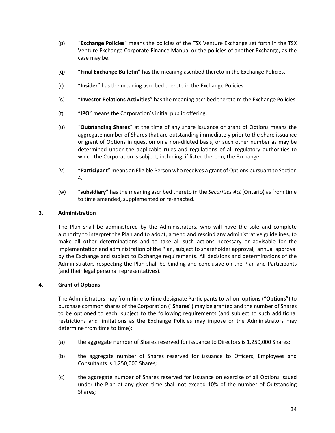- (p) "**Exchange Policies**" means the policies of the TSX Venture Exchange set forth in the TSX Venture Exchange Corporate Finance Manual or the policies of another Exchange, as the case may be.
- (q) "**Final Exchange Bulletin**" has the meaning ascribed thereto in the Exchange Policies.
- (r) "**Insider**" has the meaning ascribed thereto in the Exchange Policies.
- (s) "**Investor Relations Activities**" has the meaning ascribed thereto m the Exchange Policies.
- (t) "**IPO**" means the Corporation's initial public offering.
- (u) "**Outstanding Shares**" at the time of any share issuance or grant of Options means the aggregate number of Shares that are outstanding immediately prior to the share issuance or grant of Options in question on a non-diluted basis, or such other number as may be determined under the applicable rules and regulations of all regulatory authorities to which the Corporation is subject, including, if listed thereon, the Exchange.
- (v) "**Participant**" means an Eligible Person who receives a grant of Options pursuant to Section 4.
- (w) "**subsidiary**" has the meaning ascribed thereto in the *Securities Act* (Ontario) as from time to time amended, supplemented or re-enacted.

# **3. Administration**

The Plan shall be administered by the Administrators, who will have the sole and complete authority to interpret the Plan and to adopt, amend and rescind any administrative guidelines, to make all other determinations and to take all such actions necessary or advisable for the implementation and administration of the Plan, subject to shareholder approval, annual approval by the Exchange and subject to Exchange requirements. All decisions and determinations of the Administrators respecting the Plan shall be binding and conclusive on the Plan and Participants (and their legal personal representatives).

# **4. Grant of Options**

The Administrators may from time to time designate Participants to whom options ("**Options**") to purchase common shares of the Corporation ("**Shares**") may be granted and the number of Shares to be optioned to each, subject to the following requirements (and subject to such additional restrictions and limitations as the Exchange Policies may impose or the Administrators may determine from time to time):

- (a) the aggregate number of Shares reserved for issuance to Directors is 1,250,000 Shares;
- (b) the aggregate number of Shares reserved for issuance to Officers, Employees and Consultants is 1,250,000 Shares;
- (c) the aggregate number of Shares reserved for issuance on exercise of all Options issued under the Plan at any given time shall not exceed 10% of the number of Outstanding Shares;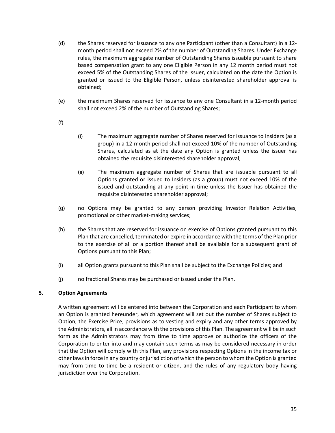- (d) the Shares reserved for issuance to any one Participant (other than a Consultant) in a 12 month period shall not exceed 2% of the number of Outstanding Shares. Under Exchange rules, the maximum aggregate number of Outstanding Shares issuable pursuant to share based compensation grant to any one Eligible Person in any 12 month period must not exceed 5% of the Outstanding Shares of the Issuer, calculated on the date the Option is granted or issued to the Eligible Person, unless disinterested shareholder approval is obtained;
- (e) the maximum Shares reserved for issuance to any one Consultant in a 12-month period shall not exceed 2% of the number of Outstanding Shares;
- (f)
- (i) The maximum aggregate number of Shares reserved for issuance to Insiders (as a group) in a 12-month period shall not exceed 10% of the number of Outstanding Shares, calculated as at the date any Option is granted unless the issuer has obtained the requisite disinterested shareholder approval;
- (ii) The maximum aggregate number of Shares that are issuable pursuant to all Options granted or issued to Insiders (as a group) must not exceed 10% of the issued and outstanding at any point in time unless the Issuer has obtained the requisite disinterested shareholder approval;
- (g) no Options may be granted to any person providing Investor Relation Activities, promotional or other market-making services;
- (h) the Shares that are reserved for issuance on exercise of Options granted pursuant to this Plan that are cancelled, terminated or expire in accordance with the terms of the Plan prior to the exercise of all or a portion thereof shall be available for a subsequent grant of Options pursuant to this Plan;
- (i) all Option grants pursuant to this Plan shall be subject to the Exchange Policies; and
- (j) no fractional Shares may be purchased or issued under the Plan.

# **5. Option Agreements**

A written agreement will be entered into between the Corporation and each Participant to whom an Option is granted hereunder, which agreement will set out the number of Shares subject to Option, the Exercise Price, provisions as to vesting and expiry and any other terms approved by the Administrators, all in accordance with the provisions of this Plan. The agreement will be in such form as the Administrators may from time to time approve or authorize the officers of the Corporation to enter into and may contain such terms as may be considered necessary in order that the Option will comply with this Plan, any provisions respecting Options in the income tax or other laws in force in any country or jurisdiction of which the person to whom the Option is granted may from time to time be a resident or citizen, and the rules of any regulatory body having jurisdiction over the Corporation.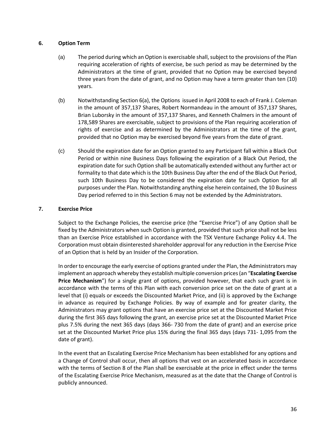# **6. Option Term**

- (a) The period during which an Option is exercisable shall, subject to the provisions of the Plan requiring acceleration of rights of exercise, be such period as may be determined by the Administrators at the time of grant, provided that no Option may be exercised beyond three years from the date of grant, and no Option may have a term greater than ten (10) years.
- (b) Notwithstanding Section 6(a), the Options issued in April 2008 to each of Frank J. Coleman in the amount of 357,137 Shares, Robert Normandeau in the amount of 357,137 Shares, Brian Luborsky in the amount of 357,137 Shares, and Kenneth Chalmers in the amount of 178,589 Shares are exercisable, subject to provisions of the Plan requiring acceleration of rights of exercise and as determined by the Administrators at the time of the grant, provided that no Option may be exercised beyond five years from the date of grant.
- (c) Should the expiration date for an Option granted to any Participant fall within a Black Out Period or within nine Business Days following the expiration of a Black Out Period, the expiration date for such Option shall be automatically extended without any further act or formality to that date which is the 10th Business Day after the end of the Black Out Period, such 10th Business Day to be considered the expiration date for such Option for all purposes under the Plan. Notwithstanding anything else herein contained, the 10 Business Day period referred to in this Section 6 may not be extended by the Administrators.

# **7. Exercise Price**

Subject to the Exchange Policies, the exercise price (the "Exercise Price") of any Option shall be fixed by the Administrators when such Option is granted, provided that such price shall not be less than an Exercise Price established in accordance with the TSX Venture Exchange Policy 4.4. The Corporation must obtain disinterested shareholder approval for any reduction in the Exercise Price of an Option that is held by an Insider of the Corporation.

In order to encourage the early exercise of options granted under the Plan, the Administrators may implement an approach whereby they establish multiple conversion prices (an "**Escalating Exercise Price Mechanism**") for a single grant of options, provided however, that each such grant is in accordance with the terms of this Plan with each conversion price set on the date of grant at a level that (i) equals or exceeds the Discounted Market Price, and (ii) is approved by the Exchange in advance as required by Exchange Policies. By way of example and for greater clarity, the Administrators may grant options that have an exercise price set at the Discounted Market Price during the first 365 days following the grant, an exercise price set at the Discounted Market Price plus 7.5% during the next 365 days (days 366- 730 from the date of grant) and an exercise price set at the Discounted Market Price plus 15% during the final 365 days (days 731- 1,095 from the date of grant).

In the event that an Escalating Exercise Price Mechanism has been established for any options and a Change of Control shall occur, then all options that vest on an accelerated basis in accordance with the terms of Section 8 of the Plan shall be exercisable at the price in effect under the terms of the Escalating Exercise Price Mechanism, measured as at the date that the Change of Control is publicly announced.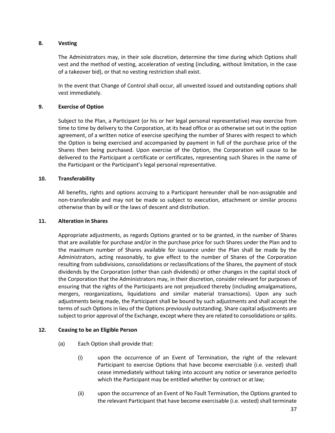# **8. Vesting**

The Administrators may, in their sole discretion, determine the time during which Options shall vest and the method of vesting, acceleration of vesting (including, without limitation, in the case of a takeover bid), or that no vesting restriction shall exist.

In the event that Change of Control shall occur, all unvested issued and outstanding options shall vest immediately.

# **9. Exercise of Option**

Subject to the Plan, a Participant (or his or her legal personal representative) may exercise from time to time by delivery to the Corporation, at its head office or as otherwise set out in the option agreement, of a written notice of exercise specifying the number of Shares with respect to which the Option is being exercised and accompanied by payment in full of the purchase price of the Shares then being purchased. Upon exercise of the Option, the Corporation will cause to be delivered to the Participant a certificate or certificates, representing such Shares in the name of the Participant or the Participant's legal personal representative.

# **10. Transferability**

All benefits, rights and options accruing to a Participant hereunder shall be non-assignable and non-transferable and may not be made so subject to execution, attachment or similar process otherwise than by will or the laws of descent and distribution.

# **11. Alteration in Shares**

Appropriate adjustments, as regards Options granted or to be granted, in the number of Shares that are available for purchase and/or in the purchase price for such Shares under the Plan and to the maximum number of Shares available for issuance under the Plan shall be made by the Administrators, acting reasonably, to give effect to the number of Shares of the Corporation resulting from subdivisions, consolidations or reclassifications of the Shares, the payment of stock dividends by the Corporation (other than cash dividends) or other changes in the capital stock of the Corporation that the Administrators may, in their discretion, consider relevant for purposes of ensuring that the rights of the Participants are not prejudiced thereby (including amalgamations, mergers, reorganizations, liquidations and similar material transactions). Upon any such adjustments being made, the Participant shall be bound by such adjustments and shall accept the terms of such Options in lieu of the Options previously outstanding. Share capital adjustments are subject to prior approval of the Exchange, except where they are related to consolidations or splits.

# **12. Ceasing to be an Eligible Person**

- (a) Each Option shall provide that:
	- (i) upon the occurrence of an Event of Termination, the right of the relevant Participant to exercise Options that have become exercisable (i.e. vested) shall cease immediately without taking into account any notice or severance period to which the Participant may be entitled whether by contract or at law;
	- (ii) upon the occurrence of an Event of No Fault Termination, the Options granted to the relevant Participant that have become exercisable (i.e. vested) shall terminate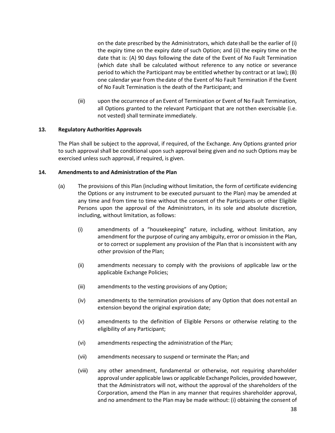on the date prescribed by the Administrators, which date shall be the earlier of (i) the expiry time on the expiry date of such Option; and (ii) the expiry time on the date that is: (A) 90 days following the date of the Event of No Fault Termination (which date shall be calculated without reference to any notice or severance period to which the Participant may be entitled whether by contract or at law); (B) one calendar year from the date of the Event of No Fault Termination if the Event of No Fault Termination is the death of the Participant; and

(iii) upon the occurrence of an Event of Termination or Event of No Fault Termination, all Options granted to the relevant Participant that are not then exercisable (i.e. not vested) shall terminate immediately.

# **13. Regulatory Authorities Approvals**

The Plan shall be subject to the approval, if required, of the Exchange. Any Options granted prior to such approval shall be conditional upon such approval being given and no such Options may be exercised unless such approval, if required, is given.

#### **14. Amendments to and Administration of the Plan**

- (a) The provisions of this Plan (including without limitation, the form of certificate evidencing the Options or any instrument to be executed pursuant to the Plan) may be amended at any time and from time to time without the consent of the Participants or other Eligible Persons upon the approval of the Administrators, in its sole and absolute discretion, including, without limitation, as follows:
	- (i) amendments of a "housekeeping" nature, including, without limitation, any amendment for the purpose of curing any ambiguity, error or omission in the Plan, or to correct or supplement any provision of the Plan that is inconsistent with any other provision of the Plan;
	- (ii) amendments necessary to comply with the provisions of applicable law or the applicable Exchange Policies;
	- (iii) amendments to the vesting provisions of any Option;
	- (iv) amendments to the termination provisions of any Option that does not entail an extension beyond the original expiration date;
	- (v) amendments to the definition of Eligible Persons or otherwise relating to the eligibility of any Participant;
	- (vi) amendments respecting the administration of the Plan;
	- (vii) amendments necessary to suspend or terminate the Plan; and
	- (viii) any other amendment, fundamental or otherwise, not requiring shareholder approval under applicable laws or applicable Exchange Policies, provided however, that the Administrators will not, without the approval of the shareholders of the Corporation, amend the Plan in any manner that requires shareholder approval, and no amendment to the Plan may be made without: (i) obtaining the consent of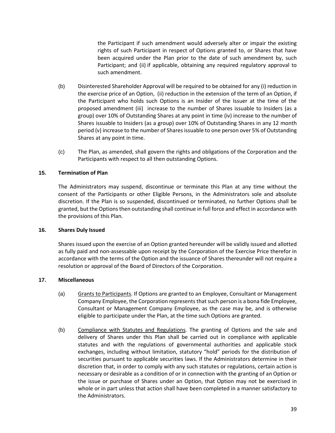the Participant if such amendment would adversely alter or impair the existing rights of such Participant in respect of Options granted to, or Shares that have been acquired under the Plan prior to the date of such amendment by, such Participant; and (ii) if applicable, obtaining any required regulatory approval to such amendment.

- (b) Disinterested Shareholder Approval will be required to be obtained for any (i) reduction in the exercise price of an Option, (ii) reduction in the extension of the term of an Option, if the Participant who holds such Options is an Insider of the Issuer at the time of the proposed amendment (iii) increase to the number of Shares issuable to Insiders (as a group) over 10% of Outstanding Shares at any point in time (iv) increase to the number of Shares issuable to Insiders (as a group) over 10% of Outstanding Shares in any 12 month period (v) increase to the number of Shares issuable to one person over 5% of Outstanding Shares at any point in time.
- (c) The Plan, as amended, shall govern the rights and obligations of the Corporation and the Participants with respect to all then outstanding Options.

# **15. Termination of Plan**

The Administrators may suspend, discontinue or terminate this Plan at any time without the consent of the Participants or other Eligible Persons, in the Administrators sole and absolute discretion. If the Plan is so suspended, discontinued or terminated, no further Options shall be granted, but the Options then outstanding shall continue in full force and effect in accordance with the provisions of this Plan.

# **16. Shares Duly Issued**

Shares issued upon the exercise of an Option granted hereunder will be validly issued and allotted as fully paid and non-assessable upon receipt by the Corporation of the Exercise Price therefor in accordance with the terms of the Option and the issuance of Shares thereunder will not require a resolution or approval of the Board of Directors of the Corporation.

# **17. Miscellaneous**

- (a) Grants to Participants*.* If Options are granted to an Employee, Consultant or Management Company Employee, the Corporation represents that such person is a bona fide Employee, Consultant or Management Company Employee, as the case may be, and is otherwise eligible to participate under the Plan, at the time such Options are granted.
- (b) Compliance with Statutes and Regulations*.* The granting of Options and the sale and delivery of Shares under this Plan shall be carried out in compliance with applicable statutes and with the regulations of governmental authorities and applicable stock exchanges, including without limitation, statutory "hold" periods for the distribution of securities pursuant to applicable securities laws. If the Administrators determine in their discretion that, in order to comply with any such statutes or regulations, certain action is necessary or desirable as a condition of or in connection with the granting of an Option or the issue or purchase of Shares under an Option, that Option may not be exercised in whole or in part unless that action shall have been completed in a manner satisfactory to the Administrators.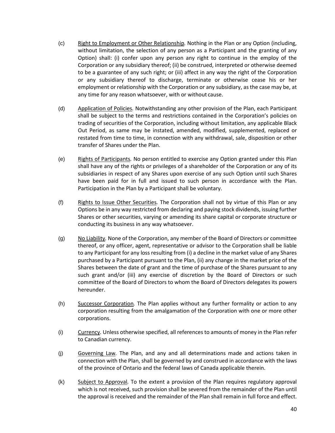- (c) Right to Employment or Other Relationship*.* Nothing in the Plan or any Option (including, without limitation, the selection of any person as a Participant and the granting of any Option) shall: (i) confer upon any person any right to continue in the employ of the Corporation or any subsidiary thereof; (ii) be construed, interpreted or otherwise deemed to be a guarantee of any such right; or (iii) affect in any way the right of the Corporation or any subsidiary thereof to discharge, terminate or otherwise cease his or her employment or relationship with the Corporation or any subsidiary, as the case may be, at any time for any reason whatsoever, with or without cause.
- (d) Application of Policies*.* Notwithstanding any other provision of the Plan, each Participant shall be subject to the terms and restrictions contained in the Corporation's policies on trading of securities of the Corporation, including without limitation, any applicable Black Out Period, as same may be instated, amended, modified, supplemented, replaced or restated from time to time, in connection with any withdrawal, sale, disposition or other transfer of Shares under the Plan.
- (e) Rights of Participants*.* No person entitled to exercise any Option granted under this Plan shall have any of the rights or privileges of a shareholder of the Corporation or any of its subsidiaries in respect of any Shares upon exercise of any such Option until such Shares have been paid for in full and issued to such person in accordance with the Plan. Participation in the Plan by a Participant shall be voluntary.
- (f) Rights to Issue Other Securities*.* The Corporation shall not by virtue of this Plan or any Options be in any way restricted from declaring and paying stock dividends, issuing further Shares or other securities, varying or amending its share capital or corporate structure or conducting its business in any way whatsoever.
- (g) No Liability*.* None of the Corporation, any member of the Board of Directors or committee thereof, or any officer, agent, representative or advisor to the Corporation shall be liable to any Participant for any loss resulting from (i) a decline in the market value of any Shares purchased by a Participant pursuant to the Plan, (ii) any change in the market price of the Shares between the date of grant and the time of purchase of the Shares pursuant to any such grant and/or (iii) any exercise of discretion by the Board of Directors or such committee of the Board of Directors to whom the Board of Directors delegates its powers hereunder.
- (h) Successor Corporation*.* The Plan applies without any further formality or action to any corporation resulting from the amalgamation of the Corporation with one or more other corporations.
- (i) Currency*.* Unless otherwise specified, all references to amounts of money in the Plan refer to Canadian currency.
- (j) Governing Law*.* The Plan, and any and all determinations made and actions taken in connection with the Plan, shall be governed by and construed in accordance with the laws of the province of Ontario and the federal laws of Canada applicable therein.
- (k) Subject to Approval*.* To the extent a provision of the Plan requires regulatory approval which is not received, such provision shall be severed from the remainder of the Plan until the approval is received and the remainder of the Plan shall remain in full force and effect.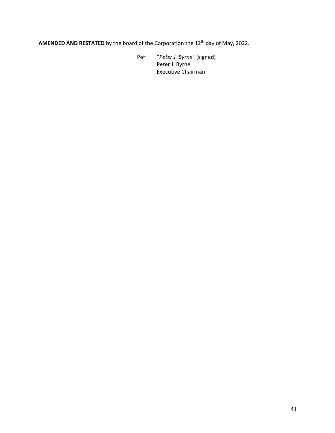AMENDED AND RESTATED by the board of the Corporation the 12<sup>th</sup> day of May, 2022.

Per: "*Peter J. Byrne*" (signed) Peter J. Byrne Executive Chairman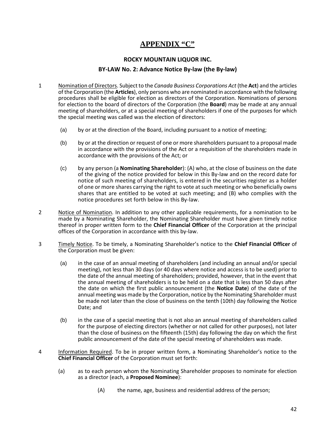# **APPENDIX "C"**

#### **ROCKY MOUNTAIN LIQUOR INC.**

#### **BY-LAW No. 2: Advance Notice By-law (the By-law)**

- 1 Nomination of Directors. Subject to the *Canada Business Corporations Act* (the **Act**) and the articles of the Corporation (the **Articles**), only persons who are nominated in accordance with the following procedures shall be eligible for election as directors of the Corporation. Nominations of persons for election to the board of directors of the Corporation (the **Board**) may be made at any annual meeting of shareholders, or at a special meeting of shareholders if one of the purposes for which the special meeting was called was the election of directors:
	- (a) by or at the direction of the Board, including pursuant to a notice of meeting;
	- (b) by or at the direction or request of one or more shareholders pursuant to a proposal made in accordance with the provisions of the Act or a requisition of the shareholders made in accordance with the provisions of the Act; or
	- (c) by any person (a **Nominating Shareholder**): (A) who, at the close of business on the date of the giving of the notice provided for below in this By-law and on the record date for notice of such meeting of shareholders, is entered in the securities register as a holder of one or more shares carrying the right to vote at such meeting or who beneficially owns shares that are entitled to be voted at such meeting; and (B) who complies with the notice procedures set forth below in this By-law.
- 2 Notice of Nomination. In addition to any other applicable requirements, for a nomination to be made by a Nominating Shareholder, the Nominating Shareholder must have given timely notice thereof in proper written form to the **Chief Financial Officer** of the Corporation at the principal offices of the Corporation in accordance with this by-law.
- 3 Timely Notice. To be timely, a Nominating Shareholder's notice to the **Chief Financial Officer** of the Corporation must be given:
	- (a) in the case of an annual meeting of shareholders (and including an annual and/or special meeting), not less than 30 days (or 40 days where notice and access is to be used) prior to the date of the annual meeting of shareholders; provided, however, that in the event that the annual meeting of shareholders is to be held on a date that is less than 50 days after the date on which the first public announcement (the **Notice Date**) of the date of the annual meeting was made by the Corporation, notice by the Nominating Shareholder must be made not later than the close of business on the tenth (10th) day following the Notice Date; and
	- (b) in the case of a special meeting that is not also an annual meeting of shareholders called for the purpose of electing directors (whether or not called for other purposes), not later than the close of business on the fifteenth (15th) day following the day on which the first public announcement of the date of the special meeting of shareholders was made.
- 4 Information Required. To be in proper written form, a Nominating Shareholder's notice to the **Chief Financial Officer** of the Corporation must set forth:
	- (a) as to each person whom the Nominating Shareholder proposes to nominate for election as a director (each, a **Proposed Nominee**):
		- (A) the name, age, business and residential address of the person;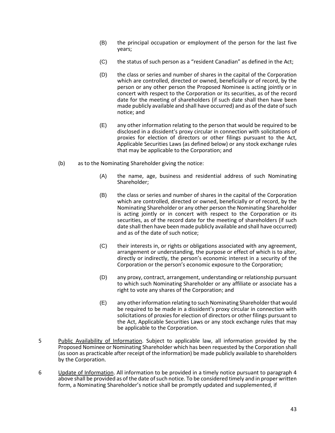- (B) the principal occupation or employment of the person for the last five years;
- (C) the status of such person as a "resident Canadian" as defined in the Act;
- (D) the class or series and number of shares in the capital of the Corporation which are controlled, directed or owned, beneficially or of record, by the person or any other person the Proposed Nominee is acting jointly or in concert with respect to the Corporation or its securities, as of the record date for the meeting of shareholders (if such date shall then have been made publicly available and shall have occurred) and as of the date of such notice; and
- (E) any other information relating to the person that would be required to be disclosed in a dissident's proxy circular in connection with solicitations of proxies for election of directors or other filings pursuant to the Act, Applicable Securities Laws (as defined below) or any stock exchange rules that may be applicable to the Corporation; and
- (b) as to the Nominating Shareholder giving the notice:
	- (A) the name, age, business and residential address of such Nominating Shareholder;
	- (B) the class or series and number of shares in the capital of the Corporation which are controlled, directed or owned, beneficially or of record, by the Nominating Shareholder or any other person the Nominating Shareholder is acting jointly or in concert with respect to the Corporation or its securities, as of the record date for the meeting of shareholders (if such date shall then have been made publicly available and shall have occurred) and as of the date of such notice;
	- (C) their interests in, or rights or obligations associated with any agreement, arrangement or understanding, the purpose or effect of which is to alter, directly or indirectly, the person's economic interest in a security of the Corporation or the person's economic exposure to the Corporation;
	- (D) any proxy, contract, arrangement, understanding or relationship pursuant to which such Nominating Shareholder or any affiliate or associate has a right to vote any shares of the Corporation; and
	- (E) any other information relating to such Nominating Shareholder that would be required to be made in a dissident's proxy circular in connection with solicitations of proxies for election of directors or other filings pursuant to the Act, Applicable Securities Laws or any stock exchange rules that may be applicable to the Corporation.
- 5 Public Availability of Information. Subject to applicable law, all information provided by the Proposed Nominee or Nominating Shareholder which has been requested by the Corporation shall (as soon as practicable after receipt of the information) be made publicly available to shareholders by the Corporation.
- 6 Update of Information. All information to be provided in a timely notice pursuant to paragraph 4 above shall be provided as of the date of such notice. To be considered timely and in proper written form, a Nominating Shareholder's notice shall be promptly updated and supplemented, if